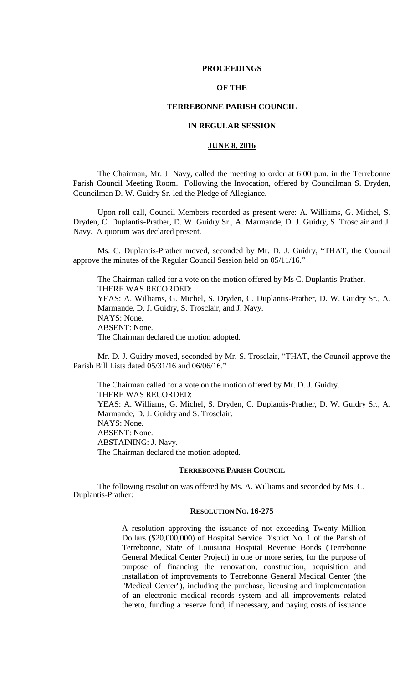## **PROCEEDINGS**

# **OF THE**

# **TERREBONNE PARISH COUNCIL**

# **IN REGULAR SESSION**

# **JUNE 8, 2016**

The Chairman, Mr. J. Navy, called the meeting to order at 6:00 p.m. in the Terrebonne Parish Council Meeting Room. Following the Invocation, offered by Councilman S. Dryden, Councilman D. W. Guidry Sr. led the Pledge of Allegiance.

Upon roll call, Council Members recorded as present were: A. Williams, G. Michel, S. Dryden, C. Duplantis-Prather, D. W. Guidry Sr., A. Marmande, D. J. Guidry, S. Trosclair and J. Navy. A quorum was declared present.

Ms. C. Duplantis-Prather moved, seconded by Mr. D. J. Guidry, "THAT, the Council approve the minutes of the Regular Council Session held on 05/11/16."

The Chairman called for a vote on the motion offered by Ms C. Duplantis-Prather. THERE WAS RECORDED: YEAS: A. Williams, G. Michel, S. Dryden, C. Duplantis-Prather, D. W. Guidry Sr., A. Marmande, D. J. Guidry, S. Trosclair, and J. Navy. NAYS: None. ABSENT: None. The Chairman declared the motion adopted.

Mr. D. J. Guidry moved, seconded by Mr. S. Trosclair, "THAT, the Council approve the Parish Bill Lists dated 05/31/16 and 06/06/16."

The Chairman called for a vote on the motion offered by Mr. D. J. Guidry. THERE WAS RECORDED: YEAS: A. Williams, G. Michel, S. Dryden, C. Duplantis-Prather, D. W. Guidry Sr., A. Marmande, D. J. Guidry and S. Trosclair. NAYS: None. ABSENT: None. ABSTAINING: J. Navy. The Chairman declared the motion adopted.

#### **TERREBONNE PARISH COUNCIL**

The following resolution was offered by Ms. A. Williams and seconded by Ms. C. Duplantis-Prather:

# **RESOLUTION NO. 16-275**

A resolution approving the issuance of not exceeding Twenty Million Dollars (\$20,000,000) of Hospital Service District No. 1 of the Parish of Terrebonne, State of Louisiana Hospital Revenue Bonds (Terrebonne General Medical Center Project) in one or more series, for the purpose of purpose of financing the renovation, construction, acquisition and installation of improvements to Terrebonne General Medical Center (the "Medical Center"), including the purchase, licensing and implementation of an electronic medical records system and all improvements related thereto, funding a reserve fund, if necessary, and paying costs of issuance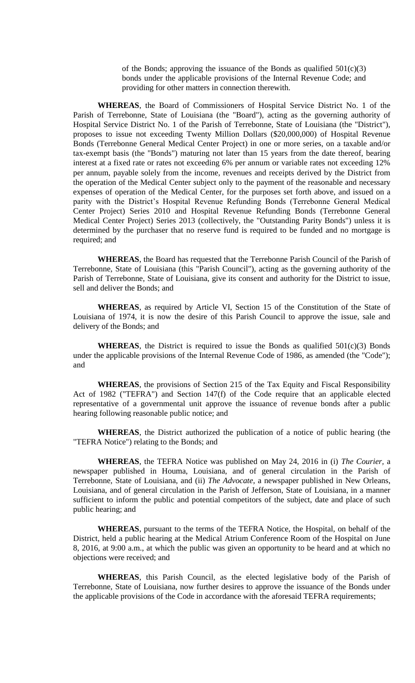of the Bonds; approving the issuance of the Bonds as qualified  $501(c)(3)$ bonds under the applicable provisions of the Internal Revenue Code; and providing for other matters in connection therewith.

**WHEREAS**, the Board of Commissioners of Hospital Service District No. 1 of the Parish of Terrebonne, State of Louisiana (the "Board"), acting as the governing authority of Hospital Service District No. 1 of the Parish of Terrebonne, State of Louisiana (the "District"), proposes to issue not exceeding Twenty Million Dollars (\$20,000,000) of Hospital Revenue Bonds (Terrebonne General Medical Center Project) in one or more series, on a taxable and/or tax-exempt basis (the "Bonds") maturing not later than 15 years from the date thereof, bearing interest at a fixed rate or rates not exceeding 6% per annum or variable rates not exceeding 12% per annum, payable solely from the income, revenues and receipts derived by the District from the operation of the Medical Center subject only to the payment of the reasonable and necessary expenses of operation of the Medical Center, for the purposes set forth above, and issued on a parity with the District's Hospital Revenue Refunding Bonds (Terrebonne General Medical Center Project) Series 2010 and Hospital Revenue Refunding Bonds (Terrebonne General Medical Center Project) Series 2013 (collectively, the "Outstanding Parity Bonds") unless it is determined by the purchaser that no reserve fund is required to be funded and no mortgage is required; and

**WHEREAS**, the Board has requested that the Terrebonne Parish Council of the Parish of Terrebonne, State of Louisiana (this "Parish Council"), acting as the governing authority of the Parish of Terrebonne, State of Louisiana, give its consent and authority for the District to issue, sell and deliver the Bonds; and

**WHEREAS**, as required by Article VI, Section 15 of the Constitution of the State of Louisiana of 1974, it is now the desire of this Parish Council to approve the issue, sale and delivery of the Bonds; and

**WHEREAS**, the District is required to issue the Bonds as qualified  $501(c)(3)$  Bonds under the applicable provisions of the Internal Revenue Code of 1986, as amended (the "Code"); and

**WHEREAS**, the provisions of Section 215 of the Tax Equity and Fiscal Responsibility Act of 1982 ("TEFRA") and Section 147(f) of the Code require that an applicable elected representative of a governmental unit approve the issuance of revenue bonds after a public hearing following reasonable public notice; and

**WHEREAS**, the District authorized the publication of a notice of public hearing (the "TEFRA Notice") relating to the Bonds; and

**WHEREAS**, the TEFRA Notice was published on May 24, 2016 in (i) *The Courier,* a newspaper published in Houma, Louisiana, and of general circulation in the Parish of Terrebonne, State of Louisiana, and (ii) *The Advocate*, a newspaper published in New Orleans, Louisiana, and of general circulation in the Parish of Jefferson, State of Louisiana, in a manner sufficient to inform the public and potential competitors of the subject, date and place of such public hearing; and

**WHEREAS**, pursuant to the terms of the TEFRA Notice, the Hospital, on behalf of the District, held a public hearing at the Medical Atrium Conference Room of the Hospital on June 8, 2016, at 9:00 a.m., at which the public was given an opportunity to be heard and at which no objections were received; and

**WHEREAS**, this Parish Council, as the elected legislative body of the Parish of Terrebonne, State of Louisiana, now further desires to approve the issuance of the Bonds under the applicable provisions of the Code in accordance with the aforesaid TEFRA requirements;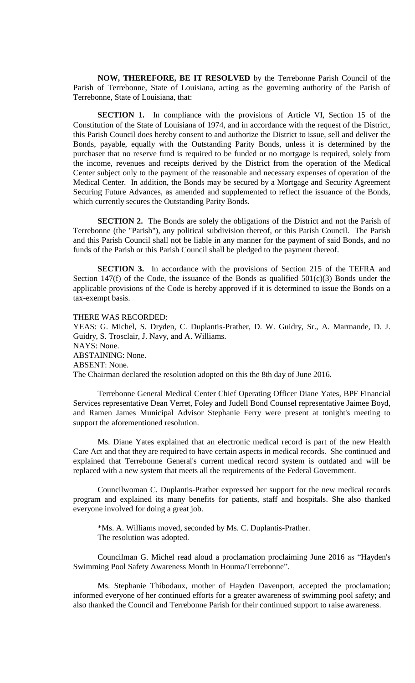**NOW, THEREFORE, BE IT RESOLVED** by the Terrebonne Parish Council of the Parish of Terrebonne, State of Louisiana, acting as the governing authority of the Parish of Terrebonne, State of Louisiana, that:

**SECTION 1.** In compliance with the provisions of Article VI, Section 15 of the Constitution of the State of Louisiana of 1974, and in accordance with the request of the District, this Parish Council does hereby consent to and authorize the District to issue, sell and deliver the Bonds, payable, equally with the Outstanding Parity Bonds, unless it is determined by the purchaser that no reserve fund is required to be funded or no mortgage is required, solely from the income, revenues and receipts derived by the District from the operation of the Medical Center subject only to the payment of the reasonable and necessary expenses of operation of the Medical Center. In addition, the Bonds may be secured by a Mortgage and Security Agreement Securing Future Advances, as amended and supplemented to reflect the issuance of the Bonds, which currently secures the Outstanding Parity Bonds.

**SECTION 2.** The Bonds are solely the obligations of the District and not the Parish of Terrebonne (the "Parish"), any political subdivision thereof, or this Parish Council. The Parish and this Parish Council shall not be liable in any manner for the payment of said Bonds, and no funds of the Parish or this Parish Council shall be pledged to the payment thereof.

**SECTION 3.** In accordance with the provisions of Section 215 of the TEFRA and Section 147(f) of the Code, the issuance of the Bonds as qualified  $501(c)(3)$  Bonds under the applicable provisions of the Code is hereby approved if it is determined to issue the Bonds on a tax-exempt basis.

THERE WAS RECORDED: YEAS: G. Michel, S. Dryden, C. Duplantis-Prather, D. W. Guidry, Sr., A. Marmande, D. J. Guidry, S. Trosclair, J. Navy, and A. Williams. NAYS: None. ABSTAINING: None. ABSENT: None. The Chairman declared the resolution adopted on this the 8th day of June 2016.

Terrebonne General Medical Center Chief Operating Officer Diane Yates, BPF Financial Services representative Dean Verret, Foley and Judell Bond Counsel representative Jaimee Boyd, and Ramen James Municipal Advisor Stephanie Ferry were present at tonight's meeting to support the aforementioned resolution.

Ms. Diane Yates explained that an electronic medical record is part of the new Health Care Act and that they are required to have certain aspects in medical records. She continued and explained that Terrebonne General's current medical record system is outdated and will be replaced with a new system that meets all the requirements of the Federal Government.

Councilwoman C. Duplantis-Prather expressed her support for the new medical records program and explained its many benefits for patients, staff and hospitals. She also thanked everyone involved for doing a great job.

\*Ms. A. Williams moved, seconded by Ms. C. Duplantis-Prather. The resolution was adopted.

Councilman G. Michel read aloud a proclamation proclaiming June 2016 as "Hayden's Swimming Pool Safety Awareness Month in Houma/Terrebonne".

Ms. Stephanie Thibodaux, mother of Hayden Davenport, accepted the proclamation; informed everyone of her continued efforts for a greater awareness of swimming pool safety; and also thanked the Council and Terrebonne Parish for their continued support to raise awareness.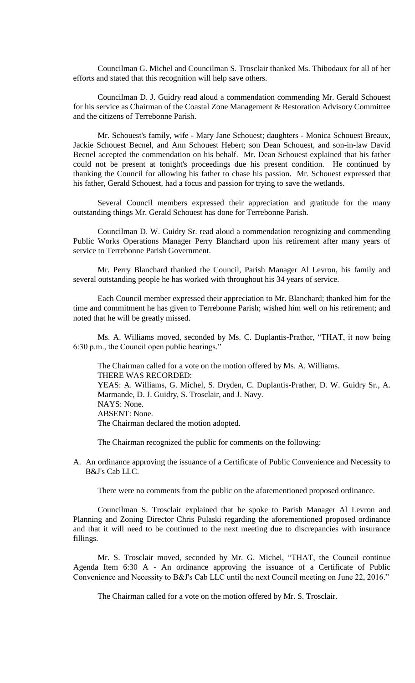Councilman G. Michel and Councilman S. Trosclair thanked Ms. Thibodaux for all of her efforts and stated that this recognition will help save others.

Councilman D. J. Guidry read aloud a commendation commending Mr. Gerald Schouest for his service as Chairman of the Coastal Zone Management & Restoration Advisory Committee and the citizens of Terrebonne Parish.

Mr. Schouest's family, wife - Mary Jane Schouest; daughters - Monica Schouest Breaux, Jackie Schouest Becnel, and Ann Schouest Hebert; son Dean Schouest, and son-in-law David Becnel accepted the commendation on his behalf. Mr. Dean Schouest explained that his father could not be present at tonight's proceedings due his present condition. He continued by thanking the Council for allowing his father to chase his passion. Mr. Schouest expressed that his father, Gerald Schouest, had a focus and passion for trying to save the wetlands.

Several Council members expressed their appreciation and gratitude for the many outstanding things Mr. Gerald Schouest has done for Terrebonne Parish.

Councilman D. W. Guidry Sr. read aloud a commendation recognizing and commending Public Works Operations Manager Perry Blanchard upon his retirement after many years of service to Terrebonne Parish Government.

Mr. Perry Blanchard thanked the Council, Parish Manager Al Levron, his family and several outstanding people he has worked with throughout his 34 years of service.

Each Council member expressed their appreciation to Mr. Blanchard; thanked him for the time and commitment he has given to Terrebonne Parish; wished him well on his retirement; and noted that he will be greatly missed.

Ms. A. Williams moved, seconded by Ms. C. Duplantis-Prather, "THAT, it now being 6:30 p.m., the Council open public hearings."

The Chairman called for a vote on the motion offered by Ms. A. Williams. THERE WAS RECORDED: YEAS: A. Williams, G. Michel, S. Dryden, C. Duplantis-Prather, D. W. Guidry Sr., A. Marmande, D. J. Guidry, S. Trosclair, and J. Navy. NAYS: None. ABSENT: None. The Chairman declared the motion adopted.

The Chairman recognized the public for comments on the following:

A. An ordinance approving the issuance of a Certificate of Public Convenience and Necessity to B&J's Cab LLC.

There were no comments from the public on the aforementioned proposed ordinance.

Councilman S. Trosclair explained that he spoke to Parish Manager Al Levron and Planning and Zoning Director Chris Pulaski regarding the aforementioned proposed ordinance and that it will need to be continued to the next meeting due to discrepancies with insurance fillings.

Mr. S. Trosclair moved, seconded by Mr. G. Michel, "THAT, the Council continue Agenda Item 6:30 A - An ordinance approving the issuance of a Certificate of Public Convenience and Necessity to B&J's Cab LLC until the next Council meeting on June 22, 2016."

The Chairman called for a vote on the motion offered by Mr. S. Trosclair.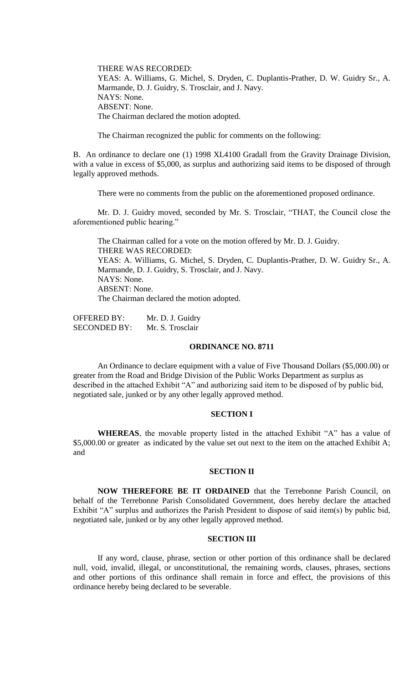THERE WAS RECORDED: YEAS: A. Williams, G. Michel, S. Dryden, C. Duplantis-Prather, D. W. Guidry Sr., A. Marmande, D. J. Guidry, S. Trosclair, and J. Navy. NAYS: None. ABSENT: None. The Chairman declared the motion adopted.

The Chairman recognized the public for comments on the following:

B. An ordinance to declare one (1) 1998 XL4100 Gradall from the Gravity Drainage Division, with a value in excess of \$5,000, as surplus and authorizing said items to be disposed of through legally approved methods.

There were no comments from the public on the aforementioned proposed ordinance.

Mr. D. J. Guidry moved, seconded by Mr. S. Trosclair, "THAT, the Council close the aforementioned public hearing."

The Chairman called for a vote on the motion offered by Mr. D. J. Guidry. THERE WAS RECORDED: YEAS: A. Williams, G. Michel, S. Dryden, C. Duplantis-Prather, D. W. Guidry Sr., A. Marmande, D. J. Guidry, S. Trosclair, and J. Navy. NAYS: None. ABSENT: None. The Chairman declared the motion adopted.

OFFERED BY: Mr. D. J. Guidry SECONDED BY: Mr. S. Trosclair

## **ORDINANCE NO. 8711**

An Ordinance to declare equipment with a value of Five Thousand Dollars (\$5,000.00) or greater from the Road and Bridge Division of the Public Works Department as surplus as described in the attached Exhibit "A" and authorizing said item to be disposed of by public bid, negotiated sale, junked or by any other legally approved method.

# **SECTION I**

**WHEREAS**, the movable property listed in the attached Exhibit "A" has a value of \$5,000.00 or greater as indicated by the value set out next to the item on the attached Exhibit A; and

## **SECTION II**

**NOW THEREFORE BE IT ORDAINED** that the Terrebonne Parish Council, on behalf of the Terrebonne Parish Consolidated Government, does hereby declare the attached Exhibit "A" surplus and authorizes the Parish President to dispose of said item(s) by public bid, negotiated sale, junked or by any other legally approved method.

## **SECTION III**

If any word, clause, phrase, section or other portion of this ordinance shall be declared null, void, invalid, illegal, or unconstitutional, the remaining words, clauses, phrases, sections and other portions of this ordinance shall remain in force and effect, the provisions of this ordinance hereby being declared to be severable.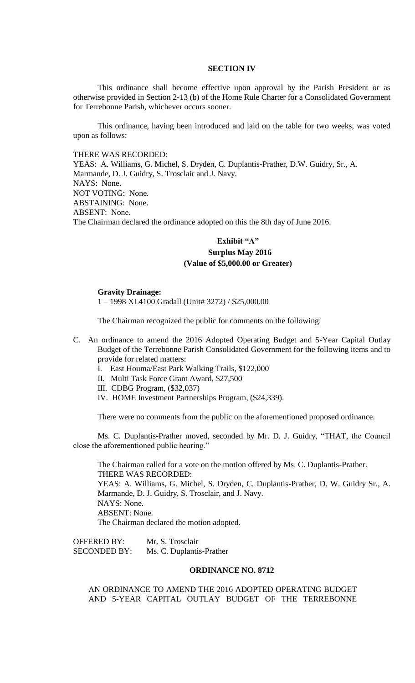### **SECTION IV**

This ordinance shall become effective upon approval by the Parish President or as otherwise provided in Section 2-13 (b) of the Home Rule Charter for a Consolidated Government for Terrebonne Parish, whichever occurs sooner.

This ordinance, having been introduced and laid on the table for two weeks, was voted upon as follows:

## THERE WAS RECORDED:

YEAS: A. Williams, G. Michel, S. Dryden, C. Duplantis-Prather, D.W. Guidry, Sr., A. Marmande, D. J. Guidry, S. Trosclair and J. Navy. NAYS: None. NOT VOTING: None. ABSTAINING: None. ABSENT: None. The Chairman declared the ordinance adopted on this the 8th day of June 2016.

# **Exhibit "A" Surplus May 2016 (Value of \$5,000.00 or Greater)**

#### **Gravity Drainage:**

1 – 1998 XL4100 Gradall (Unit# 3272) / \$25,000.00

The Chairman recognized the public for comments on the following:

- C. An ordinance to amend the 2016 Adopted Operating Budget and 5-Year Capital Outlay Budget of the Terrebonne Parish Consolidated Government for the following items and to provide for related matters:
	- I. East Houma/East Park Walking Trails, \$122,000
	- II. Multi Task Force Grant Award, \$27,500
	- III. CDBG Program, (\$32,037)
	- IV. HOME Investment Partnerships Program, (\$24,339).

There were no comments from the public on the aforementioned proposed ordinance.

Ms. C. Duplantis-Prather moved, seconded by Mr. D. J. Guidry, "THAT, the Council close the aforementioned public hearing."

The Chairman called for a vote on the motion offered by Ms. C. Duplantis-Prather. THERE WAS RECORDED: YEAS: A. Williams, G. Michel, S. Dryden, C. Duplantis-Prather, D. W. Guidry Sr., A. Marmande, D. J. Guidry, S. Trosclair, and J. Navy. NAYS: None. ABSENT: None.

The Chairman declared the motion adopted.

OFFERED BY: Mr. S. Trosclair SECONDED BY: Ms. C. Duplantis-Prather

# **ORDINANCE NO. 8712**

AN ORDINANCE TO AMEND THE 2016 ADOPTED OPERATING BUDGET AND 5-YEAR CAPITAL OUTLAY BUDGET OF THE TERREBONNE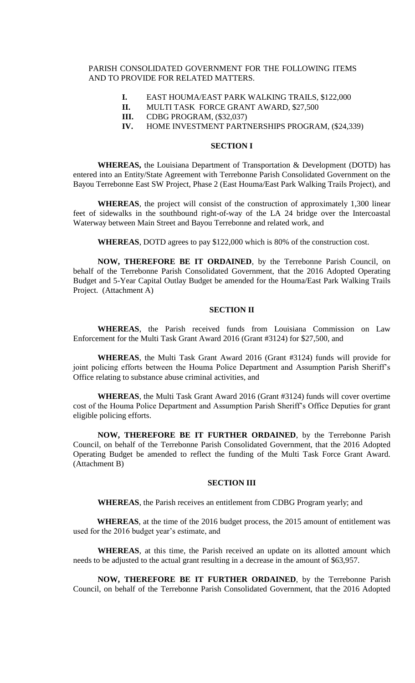# PARISH CONSOLIDATED GOVERNMENT FOR THE FOLLOWING ITEMS AND TO PROVIDE FOR RELATED MATTERS.

- **I.** EAST HOUMA/EAST PARK WALKING TRAILS, \$122,000
- **II.** MULTI TASK FORCE GRANT AWARD, \$27,500
- **III.** CDBG PROGRAM, (\$32,037)
- **IV.** HOME INVESTMENT PARTNERSHIPS PROGRAM, (\$24,339)

# **SECTION I**

**WHEREAS,** the Louisiana Department of Transportation & Development (DOTD) has entered into an Entity/State Agreement with Terrebonne Parish Consolidated Government on the Bayou Terrebonne East SW Project, Phase 2 (East Houma/East Park Walking Trails Project), and

**WHEREAS**, the project will consist of the construction of approximately 1,300 linear feet of sidewalks in the southbound right-of-way of the LA 24 bridge over the Intercoastal Waterway between Main Street and Bayou Terrebonne and related work, and

**WHEREAS**, DOTD agrees to pay \$122,000 which is 80% of the construction cost.

**NOW, THEREFORE BE IT ORDAINED**, by the Terrebonne Parish Council, on behalf of the Terrebonne Parish Consolidated Government, that the 2016 Adopted Operating Budget and 5-Year Capital Outlay Budget be amended for the Houma/East Park Walking Trails Project. (Attachment A)

## **SECTION II**

**WHEREAS**, the Parish received funds from Louisiana Commission on Law Enforcement for the Multi Task Grant Award 2016 (Grant #3124) for \$27,500, and

**WHEREAS**, the Multi Task Grant Award 2016 (Grant #3124) funds will provide for joint policing efforts between the Houma Police Department and Assumption Parish Sheriff's Office relating to substance abuse criminal activities, and

**WHEREAS**, the Multi Task Grant Award 2016 (Grant #3124) funds will cover overtime cost of the Houma Police Department and Assumption Parish Sheriff's Office Deputies for grant eligible policing efforts.

**NOW, THEREFORE BE IT FURTHER ORDAINED**, by the Terrebonne Parish Council, on behalf of the Terrebonne Parish Consolidated Government, that the 2016 Adopted Operating Budget be amended to reflect the funding of the Multi Task Force Grant Award. (Attachment B)

### **SECTION III**

**WHEREAS**, the Parish receives an entitlement from CDBG Program yearly; and

**WHEREAS**, at the time of the 2016 budget process, the 2015 amount of entitlement was used for the 2016 budget year's estimate, and

**WHEREAS**, at this time, the Parish received an update on its allotted amount which needs to be adjusted to the actual grant resulting in a decrease in the amount of \$63,957.

**NOW, THEREFORE BE IT FURTHER ORDAINED**, by the Terrebonne Parish Council, on behalf of the Terrebonne Parish Consolidated Government, that the 2016 Adopted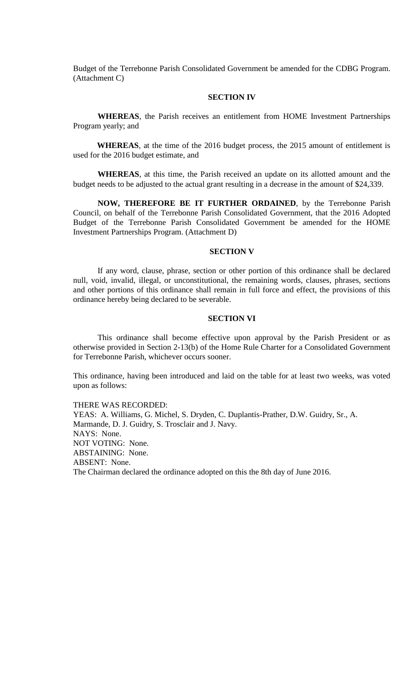Budget of the Terrebonne Parish Consolidated Government be amended for the CDBG Program. (Attachment C)

## **SECTION IV**

**WHEREAS**, the Parish receives an entitlement from HOME Investment Partnerships Program yearly; and

**WHEREAS**, at the time of the 2016 budget process, the 2015 amount of entitlement is used for the 2016 budget estimate, and

**WHEREAS**, at this time, the Parish received an update on its allotted amount and the budget needs to be adjusted to the actual grant resulting in a decrease in the amount of \$24,339.

**NOW, THEREFORE BE IT FURTHER ORDAINED**, by the Terrebonne Parish Council, on behalf of the Terrebonne Parish Consolidated Government, that the 2016 Adopted Budget of the Terrebonne Parish Consolidated Government be amended for the HOME Investment Partnerships Program. (Attachment D)

## **SECTION V**

If any word, clause, phrase, section or other portion of this ordinance shall be declared null, void, invalid, illegal, or unconstitutional, the remaining words, clauses, phrases, sections and other portions of this ordinance shall remain in full force and effect, the provisions of this ordinance hereby being declared to be severable.

### **SECTION VI**

This ordinance shall become effective upon approval by the Parish President or as otherwise provided in Section 2-13(b) of the Home Rule Charter for a Consolidated Government for Terrebonne Parish, whichever occurs sooner.

This ordinance, having been introduced and laid on the table for at least two weeks, was voted upon as follows:

THERE WAS RECORDED: YEAS: A. Williams, G. Michel, S. Dryden, C. Duplantis-Prather, D.W. Guidry, Sr., A. Marmande, D. J. Guidry, S. Trosclair and J. Navy. NAYS: None. NOT VOTING: None. ABSTAINING: None. ABSENT: None. The Chairman declared the ordinance adopted on this the 8th day of June 2016.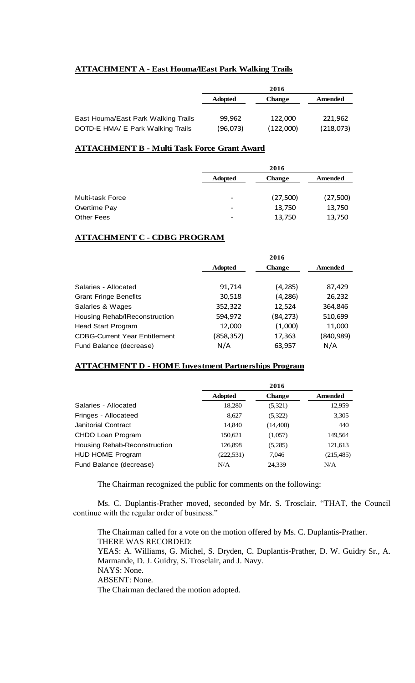# **ATTACHMENT A - East Houma/lEast Park Walking Trails**

|                                     | 2016           |               |           |
|-------------------------------------|----------------|---------------|-----------|
|                                     | <b>Adopted</b> | <b>Change</b> | Amended   |
|                                     |                |               |           |
| East Houma/East Park Walking Trails | 99,962         | 122,000       | 221.962   |
| DOTD-E HMA/ E Park Walking Trails   | (96,073)       | (122,000)     | (218,073) |

# **ATTACHMENT B - Multi Task Force Grant Award**

| 2016           |               |          |
|----------------|---------------|----------|
| <b>Adopted</b> | <b>Change</b> | Amended  |
|                |               |          |
| -              | (27,500)      | (27,500) |
| -              | 13,750        | 13,750   |
| -              | 13,750        | 13,750   |
|                |               |          |

# **ATTACHMENT C - CDBG PROGRAM**

|                                      | 2016           |               |           |
|--------------------------------------|----------------|---------------|-----------|
|                                      | <b>Adopted</b> | <b>Change</b> | Amended   |
|                                      |                |               |           |
| Salaries - Allocated                 | 91,714         | (4, 285)      | 87,429    |
| <b>Grant Fringe Benefits</b>         | 30,518         | (4, 286)      | 26,232    |
| Salaries & Wages                     | 352,322        | 12,524        | 364,846   |
| Housing Rehab/IReconstruction        | 594,972        | (84, 273)     | 510,699   |
| <b>Head Start Program</b>            | 12,000         | (1,000)       | 11,000    |
| <b>CDBG-Current Year Entitlement</b> | (858,352)      | 17,363        | (840,989) |
| Fund Balance (decrease)              | N/A            | 63,957        | N/A       |

# **ATTACHMENT D - HOME Investment Partnerships Program**

|                              |                | 2016          |            |
|------------------------------|----------------|---------------|------------|
|                              | <b>Adopted</b> | <b>Change</b> | Amended    |
| Salaries - Allocated         | 18,280         | (5,321)       | 12,959     |
| Fringes - Allocateed         | 8,627          | (5,322)       | 3,305      |
| <b>Janitorial Contract</b>   | 14,840         | (14,400)      | 440        |
| CHDO Loan Program            | 150,621        | (1,057)       | 149,564    |
| Housing Rehab-Reconstruction | 126,898        | (5,285)       | 121,613    |
| HUD HOME Program             | (222, 531)     | 7,046         | (215, 485) |
| Fund Balance (decrease)      | N/A            | 24,339        | N/A        |

The Chairman recognized the public for comments on the following:

Ms. C. Duplantis-Prather moved, seconded by Mr. S. Trosclair, "THAT, the Council continue with the regular order of business."

The Chairman called for a vote on the motion offered by Ms. C. Duplantis-Prather. THERE WAS RECORDED: YEAS: A. Williams, G. Michel, S. Dryden, C. Duplantis-Prather, D. W. Guidry Sr., A. Marmande, D. J. Guidry, S. Trosclair, and J. Navy. NAYS: None. ABSENT: None. The Chairman declared the motion adopted.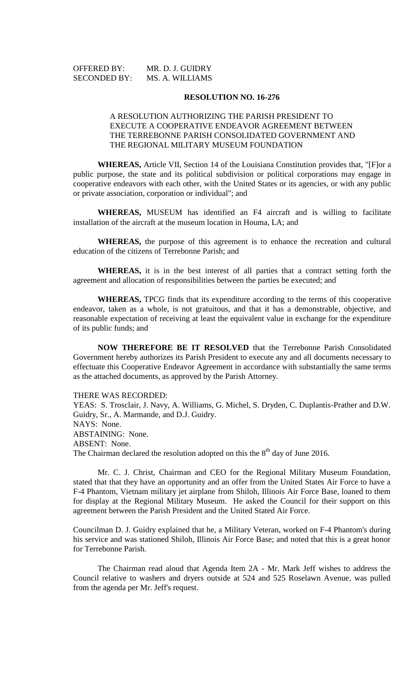| <b>OFFERED BY:</b>  | MR. D. J. GUIDRY |
|---------------------|------------------|
| <b>SECONDED BY:</b> | MS. A. WILLIAMS  |

### **RESOLUTION NO. 16-276**

# A RESOLUTION AUTHORIZING THE PARISH PRESIDENT TO EXECUTE A COOPERATIVE ENDEAVOR AGREEMENT BETWEEN THE TERREBONNE PARISH CONSOLIDATED GOVERNMENT AND THE REGIONAL MILITARY MUSEUM FOUNDATION

**WHEREAS,** Article VII, Section 14 of the Louisiana Constitution provides that, "[F]or a public purpose, the state and its political subdivision or political corporations may engage in cooperative endeavors with each other, with the United States or its agencies, or with any public or private association, corporation or individual"; and

**WHEREAS,** MUSEUM has identified an F4 aircraft and is willing to facilitate installation of the aircraft at the museum location in Houma, LA; and

**WHEREAS,** the purpose of this agreement is to enhance the recreation and cultural education of the citizens of Terrebonne Parish; and

**WHEREAS,** it is in the best interest of all parties that a contract setting forth the agreement and allocation of responsibilities between the parties be executed; and

**WHEREAS,** TPCG finds that its expenditure according to the terms of this cooperative endeavor, taken as a whole, is not gratuitous, and that it has a demonstrable, objective, and reasonable expectation of receiving at least the equivalent value in exchange for the expenditure of its public funds; and

**NOW THEREFORE BE IT RESOLVED** that the Terrebonne Parish Consolidated Government hereby authorizes its Parish President to execute any and all documents necessary to effectuate this Cooperative Endeavor Agreement in accordance with substantially the same terms as the attached documents, as approved by the Parish Attorney.

THERE WAS RECORDED:

YEAS: S. Trosclair, J. Navy, A. Williams, G. Michel, S. Dryden, C. Duplantis-Prather and D.W. Guidry, Sr., A. Marmande, and D.J. Guidry. NAYS: None. ABSTAINING: None. ABSENT: None. The Chairman declared the resolution adopted on this the  $8<sup>th</sup>$  day of June 2016.

Mr. C. J. Christ, Chairman and CEO for the Regional Military Museum Foundation, stated that that they have an opportunity and an offer from the United States Air Force to have a F-4 Phantom, Vietnam military jet airplane from Shiloh, Illinois Air Force Base, loaned to them for display at the Regional Military Museum. He asked the Council for their support on this agreement between the Parish President and the United Stated Air Force.

Councilman D. J. Guidry explained that he, a Military Veteran, worked on F-4 Phantom's during his service and was stationed Shiloh, Illinois Air Force Base; and noted that this is a great honor for Terrebonne Parish.

The Chairman read aloud that Agenda Item 2A - Mr. Mark Jeff wishes to address the Council relative to washers and dryers outside at 524 and 525 Roselawn Avenue, was pulled from the agenda per Mr. Jeff's request.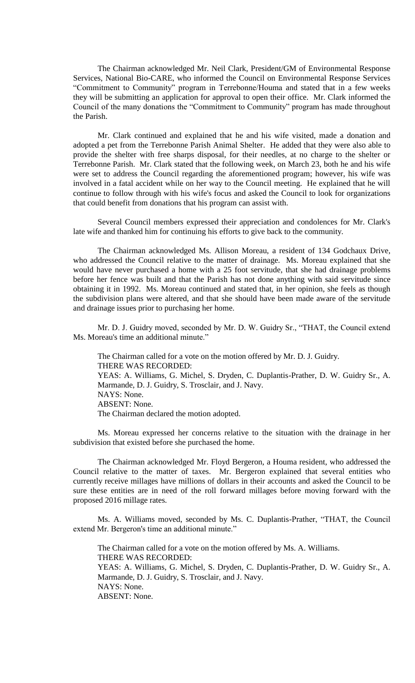The Chairman acknowledged Mr. Neil Clark, President/GM of Environmental Response Services, National Bio-CARE, who informed the Council on Environmental Response Services "Commitment to Community" program in Terrebonne/Houma and stated that in a few weeks they will be submitting an application for approval to open their office. Mr. Clark informed the Council of the many donations the "Commitment to Community" program has made throughout the Parish.

Mr. Clark continued and explained that he and his wife visited, made a donation and adopted a pet from the Terrebonne Parish Animal Shelter. He added that they were also able to provide the shelter with free sharps disposal, for their needles, at no charge to the shelter or Terrebonne Parish. Mr. Clark stated that the following week, on March 23, both he and his wife were set to address the Council regarding the aforementioned program; however, his wife was involved in a fatal accident while on her way to the Council meeting. He explained that he will continue to follow through with his wife's focus and asked the Council to look for organizations that could benefit from donations that his program can assist with.

Several Council members expressed their appreciation and condolences for Mr. Clark's late wife and thanked him for continuing his efforts to give back to the community.

The Chairman acknowledged Ms. Allison Moreau, a resident of 134 Godchaux Drive, who addressed the Council relative to the matter of drainage. Ms. Moreau explained that she would have never purchased a home with a 25 foot servitude, that she had drainage problems before her fence was built and that the Parish has not done anything with said servitude since obtaining it in 1992. Ms. Moreau continued and stated that, in her opinion, she feels as though the subdivision plans were altered, and that she should have been made aware of the servitude and drainage issues prior to purchasing her home.

Mr. D. J. Guidry moved, seconded by Mr. D. W. Guidry Sr., "THAT, the Council extend Ms. Moreau's time an additional minute."

The Chairman called for a vote on the motion offered by Mr. D. J. Guidry. THERE WAS RECORDED: YEAS: A. Williams, G. Michel, S. Dryden, C. Duplantis-Prather, D. W. Guidry Sr., A. Marmande, D. J. Guidry, S. Trosclair, and J. Navy. NAYS: None. ABSENT: None. The Chairman declared the motion adopted.

Ms. Moreau expressed her concerns relative to the situation with the drainage in her subdivision that existed before she purchased the home.

The Chairman acknowledged Mr. Floyd Bergeron, a Houma resident, who addressed the Council relative to the matter of taxes. Mr. Bergeron explained that several entities who currently receive millages have millions of dollars in their accounts and asked the Council to be sure these entities are in need of the roll forward millages before moving forward with the proposed 2016 millage rates.

Ms. A. Williams moved, seconded by Ms. C. Duplantis-Prather, "THAT, the Council extend Mr. Bergeron's time an additional minute."

The Chairman called for a vote on the motion offered by Ms. A. Williams. THERE WAS RECORDED: YEAS: A. Williams, G. Michel, S. Dryden, C. Duplantis-Prather, D. W. Guidry Sr., A. Marmande, D. J. Guidry, S. Trosclair, and J. Navy. NAYS: None. ABSENT: None.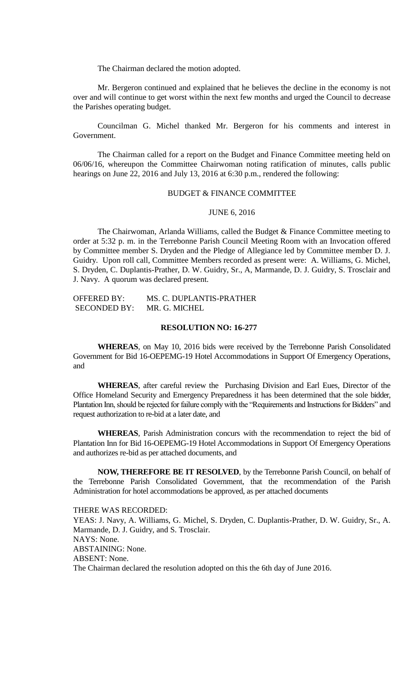The Chairman declared the motion adopted.

Mr. Bergeron continued and explained that he believes the decline in the economy is not over and will continue to get worst within the next few months and urged the Council to decrease the Parishes operating budget.

Councilman G. Michel thanked Mr. Bergeron for his comments and interest in Government.

The Chairman called for a report on the Budget and Finance Committee meeting held on 06/06/16, whereupon the Committee Chairwoman noting ratification of minutes, calls public hearings on June 22, 2016 and July 13, 2016 at 6:30 p.m., rendered the following:

### BUDGET & FINANCE COMMITTEE

#### JUNE 6, 2016

The Chairwoman, Arlanda Williams, called the Budget & Finance Committee meeting to order at 5:32 p. m. in the Terrebonne Parish Council Meeting Room with an Invocation offered by Committee member S. Dryden and the Pledge of Allegiance led by Committee member D. J. Guidry. Upon roll call, Committee Members recorded as present were: A. Williams, G. Michel, S. Dryden, C. Duplantis-Prather, D. W. Guidry, Sr., A, Marmande, D. J. Guidry, S. Trosclair and J. Navy. A quorum was declared present.

OFFERED BY: MS. C. DUPLANTIS-PRATHER SECONDED BY: MR. G. MICHEL

# **RESOLUTION NO: 16-277**

**WHEREAS**, on May 10, 2016 bids were received by the Terrebonne Parish Consolidated Government for Bid 16-OEPEMG-19 Hotel Accommodations in Support Of Emergency Operations, and

**WHEREAS**, after careful review the Purchasing Division and Earl Eues, Director of the Office Homeland Security and Emergency Preparedness it has been determined that the sole bidder, Plantation Inn, should be rejected for failure comply with the "Requirements and Instructions for Bidders" and request authorization to re-bid at a later date, and

**WHEREAS**, Parish Administration concurs with the recommendation to reject the bid of Plantation Inn for Bid 16-OEPEMG-19 Hotel Accommodations in Support Of Emergency Operations and authorizes re-bid as per attached documents, and

**NOW, THEREFORE BE IT RESOLVED**, by the Terrebonne Parish Council, on behalf of the Terrebonne Parish Consolidated Government, that the recommendation of the Parish Administration for hotel accommodations be approved, as per attached documents

THERE WAS RECORDED: YEAS: J. Navy, A. Williams, G. Michel, S. Dryden, C. Duplantis-Prather, D. W. Guidry, Sr., A. Marmande, D. J. Guidry, and S. Trosclair. NAYS: None. ABSTAINING: None. ABSENT: None. The Chairman declared the resolution adopted on this the 6th day of June 2016.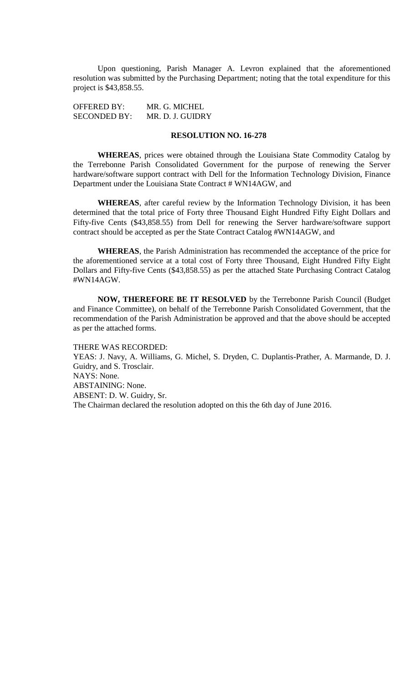Upon questioning, Parish Manager A. Levron explained that the aforementioned resolution was submitted by the Purchasing Department; noting that the total expenditure for this project is \$43,858.55.

OFFERED BY: MR. G. MICHEL SECONDED BY: MR. D. J. GUIDRY

# **RESOLUTION NO. 16-278**

**WHEREAS**, prices were obtained through the Louisiana State Commodity Catalog by the Terrebonne Parish Consolidated Government for the purpose of renewing the Server hardware/software support contract with Dell for the Information Technology Division, Finance Department under the Louisiana State Contract # WN14AGW, and

**WHEREAS**, after careful review by the Information Technology Division, it has been determined that the total price of Forty three Thousand Eight Hundred Fifty Eight Dollars and Fifty-five Cents (\$43,858.55) from Dell for renewing the Server hardware/software support contract should be accepted as per the State Contract Catalog #WN14AGW, and

**WHEREAS**, the Parish Administration has recommended the acceptance of the price for the aforementioned service at a total cost of Forty three Thousand, Eight Hundred Fifty Eight Dollars and Fifty-five Cents (\$43,858.55) as per the attached State Purchasing Contract Catalog #WN14AGW.

**NOW, THEREFORE BE IT RESOLVED** by the Terrebonne Parish Council (Budget and Finance Committee), on behalf of the Terrebonne Parish Consolidated Government, that the recommendation of the Parish Administration be approved and that the above should be accepted as per the attached forms.

THERE WAS RECORDED: YEAS: J. Navy, A. Williams, G. Michel, S. Dryden, C. Duplantis-Prather, A. Marmande, D. J. Guidry, and S. Trosclair. NAYS: None. ABSTAINING: None. ABSENT: D. W. Guidry, Sr. The Chairman declared the resolution adopted on this the 6th day of June 2016.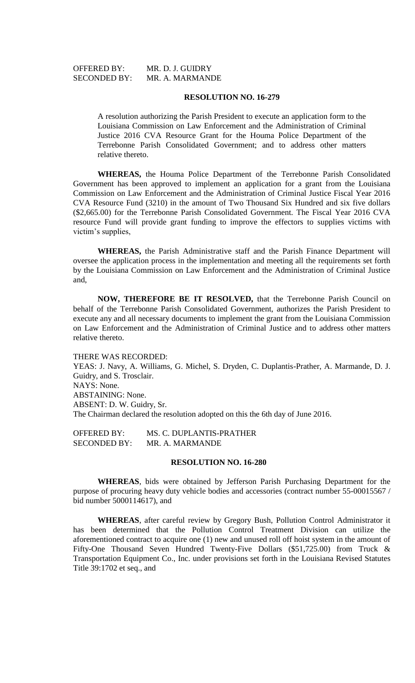| <b>OFFERED BY:</b>  | MR. D. J. GUIDRY |
|---------------------|------------------|
| <b>SECONDED BY:</b> | MR. A. MARMANDE  |

### **RESOLUTION NO. 16-279**

A resolution authorizing the Parish President to execute an application form to the Louisiana Commission on Law Enforcement and the Administration of Criminal Justice 2016 CVA Resource Grant for the Houma Police Department of the Terrebonne Parish Consolidated Government; and to address other matters relative thereto.

**WHEREAS,** the Houma Police Department of the Terrebonne Parish Consolidated Government has been approved to implement an application for a grant from the Louisiana Commission on Law Enforcement and the Administration of Criminal Justice Fiscal Year 2016 CVA Resource Fund (3210) in the amount of Two Thousand Six Hundred and six five dollars (\$2,665.00) for the Terrebonne Parish Consolidated Government. The Fiscal Year 2016 CVA resource Fund will provide grant funding to improve the effectors to supplies victims with victim's supplies,

**WHEREAS,** the Parish Administrative staff and the Parish Finance Department will oversee the application process in the implementation and meeting all the requirements set forth by the Louisiana Commission on Law Enforcement and the Administration of Criminal Justice and,

**NOW, THEREFORE BE IT RESOLVED,** that the Terrebonne Parish Council on behalf of the Terrebonne Parish Consolidated Government, authorizes the Parish President to execute any and all necessary documents to implement the grant from the Louisiana Commission on Law Enforcement and the Administration of Criminal Justice and to address other matters relative thereto.

THERE WAS RECORDED:

YEAS: J. Navy, A. Williams, G. Michel, S. Dryden, C. Duplantis-Prather, A. Marmande, D. J. Guidry, and S. Trosclair. NAYS: None. ABSTAINING: None. ABSENT: D. W. Guidry, Sr. The Chairman declared the resolution adopted on this the 6th day of June 2016.

OFFERED BY: MS. C. DUPLANTIS-PRATHER SECONDED BY: MR. A. MARMANDE

## **RESOLUTION NO. 16-280**

**WHEREAS**, bids were obtained by Jefferson Parish Purchasing Department for the purpose of procuring heavy duty vehicle bodies and accessories (contract number 55-00015567 / bid number 5000114617), and

**WHEREAS**, after careful review by Gregory Bush, Pollution Control Administrator it has been determined that the Pollution Control Treatment Division can utilize the aforementioned contract to acquire one (1) new and unused roll off hoist system in the amount of Fifty-One Thousand Seven Hundred Twenty-Five Dollars (\$51,725.00) from Truck & Transportation Equipment Co., Inc. under provisions set forth in the Louisiana Revised Statutes Title 39:1702 et seq., and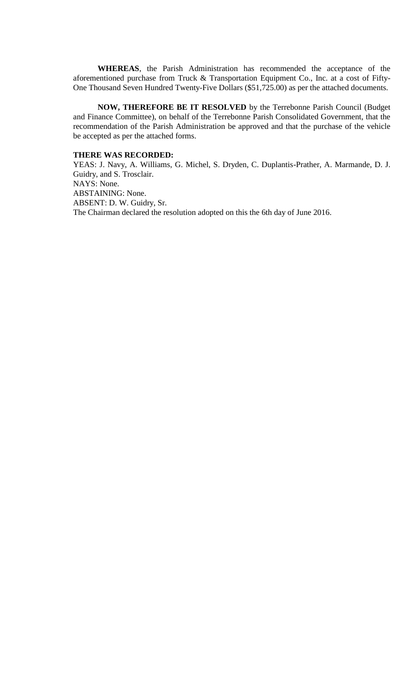**WHEREAS**, the Parish Administration has recommended the acceptance of the aforementioned purchase from Truck & Transportation Equipment Co., Inc. at a cost of Fifty-One Thousand Seven Hundred Twenty-Five Dollars (\$51,725.00) as per the attached documents.

**NOW, THEREFORE BE IT RESOLVED** by the Terrebonne Parish Council (Budget and Finance Committee), on behalf of the Terrebonne Parish Consolidated Government, that the recommendation of the Parish Administration be approved and that the purchase of the vehicle be accepted as per the attached forms.

# **THERE WAS RECORDED:**

YEAS: J. Navy, A. Williams, G. Michel, S. Dryden, C. Duplantis-Prather, A. Marmande, D. J. Guidry, and S. Trosclair. NAYS: None. ABSTAINING: None. ABSENT: D. W. Guidry, Sr. The Chairman declared the resolution adopted on this the 6th day of June 2016.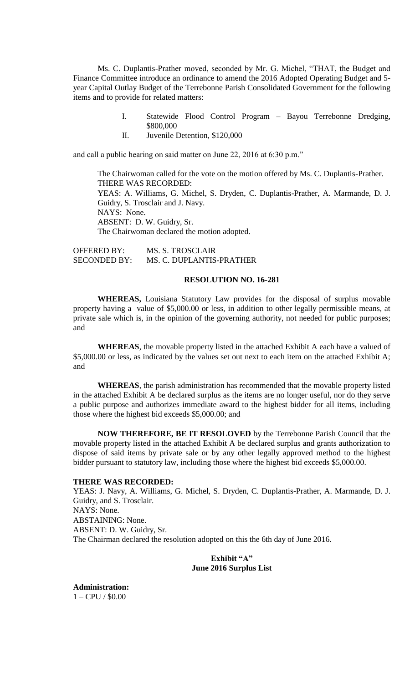Ms. C. Duplantis-Prather moved, seconded by Mr. G. Michel, "THAT, the Budget and Finance Committee introduce an ordinance to amend the 2016 Adopted Operating Budget and 5 year Capital Outlay Budget of the Terrebonne Parish Consolidated Government for the following items and to provide for related matters:

- I. Statewide Flood Control Program Bayou Terrebonne Dredging, \$800,000
- II. Juvenile Detention, \$120,000

and call a public hearing on said matter on June 22, 2016 at 6:30 p.m."

The Chairwoman called for the vote on the motion offered by Ms. C. Duplantis-Prather. THERE WAS RECORDED: YEAS: A. Williams, G. Michel, S. Dryden, C. Duplantis-Prather, A. Marmande, D. J. Guidry, S. Trosclair and J. Navy. NAYS: None. ABSENT: D. W. Guidry, Sr. The Chairwoman declared the motion adopted.

OFFERED BY: MS. S. TROSCLAIR SECONDED BY: MS. C. DUPLANTIS-PRATHER

## **RESOLUTION NO. 16-281**

**WHEREAS,** Louisiana Statutory Law provides for the disposal of surplus movable property having a value of \$5,000.00 or less, in addition to other legally permissible means, at private sale which is, in the opinion of the governing authority, not needed for public purposes; and

**WHEREAS**, the movable property listed in the attached Exhibit A each have a valued of \$5,000.00 or less, as indicated by the values set out next to each item on the attached Exhibit A; and

**WHEREAS**, the parish administration has recommended that the movable property listed in the attached Exhibit A be declared surplus as the items are no longer useful, nor do they serve a public purpose and authorizes immediate award to the highest bidder for all items, including those where the highest bid exceeds \$5,000.00; and

**NOW THEREFORE, BE IT RESOLOVED** by the Terrebonne Parish Council that the movable property listed in the attached Exhibit A be declared surplus and grants authorization to dispose of said items by private sale or by any other legally approved method to the highest bidder pursuant to statutory law, including those where the highest bid exceeds \$5,000.00.

# **THERE WAS RECORDED:**

YEAS: J. Navy, A. Williams, G. Michel, S. Dryden, C. Duplantis-Prather, A. Marmande, D. J. Guidry, and S. Trosclair. NAYS: None. ABSTAINING: None. ABSENT: D. W. Guidry, Sr. The Chairman declared the resolution adopted on this the 6th day of June 2016.

> **Exhibit "A" June 2016 Surplus List**

**Administration:** 1 – CPU / \$0.00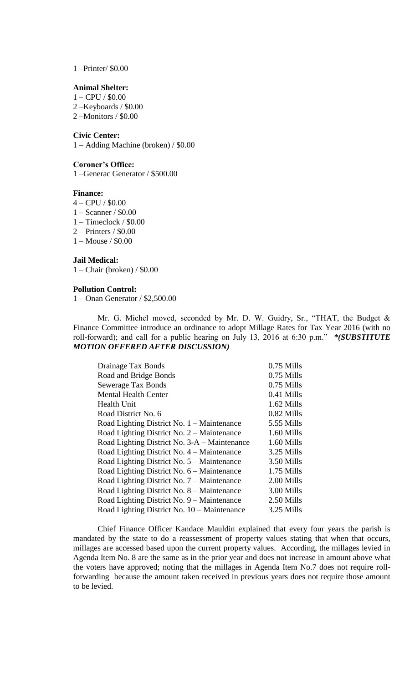1 –Printer/ \$0.00

# **Animal Shelter:**

1 – CPU / \$0.00

2 –Keyboards / \$0.00 2 –Monitors / \$0.00

# **Civic Center:**

1 – Adding Machine (broken) / \$0.00

# **Coroner's Office:**

1 –Generac Generator / \$500.00

## **Finance:**

- 4 CPU / \$0.00
- 1 Scanner / \$0.00
- 1 Timeclock / \$0.00
- 2 Printers / \$0.00
- 1 Mouse / \$0.00

**Jail Medical:** 1 – Chair (broken) / \$0.00

#### **Pollution Control:**

1 – Onan Generator / \$2,500.00

Mr. G. Michel moved, seconded by Mr. D. W. Guidry, Sr., "THAT, the Budget & Finance Committee introduce an ordinance to adopt Millage Rates for Tax Year 2016 (with no roll-forward); and call for a public hearing on July 13, 2016 at 6:30 p.m." *\*(SUBSTITUTE MOTION OFFERED AFTER DISCUSSION)* 

| Drainage Tax Bonds                                   | $0.75$ Mills |
|------------------------------------------------------|--------------|
| Road and Bridge Bonds                                | $0.75$ Mills |
| Sewerage Tax Bonds                                   | $0.75$ Mills |
| <b>Mental Health Center</b>                          | 0.41 Mills   |
| Health Unit                                          | 1.62 Mills   |
| Road District No. 6                                  | 0.82 Mills   |
| Road Lighting District No. $1 - \text{M}$ aintenance | 5.55 Mills   |
| Road Lighting District No. 2 – Maintenance           | 1.60 Mills   |
| Road Lighting District No. 3-A – Maintenance         | 1.60 Mills   |
| Road Lighting District No. 4 – Maintenance           | 3.25 Mills   |
| Road Lighting District No. 5 – Maintenance           | 3.50 Mills   |
| Road Lighting District No. 6 – Maintenance           | 1.75 Mills   |
| Road Lighting District No. 7 – Maintenance           | 2.00 Mills   |
| Road Lighting District No. 8 – Maintenance           | 3.00 Mills   |
| Road Lighting District No. 9 – Maintenance           | 2.50 Mills   |
| Road Lighting District No. 10 – Maintenance          | 3.25 Mills   |

Chief Finance Officer Kandace Mauldin explained that every four years the parish is mandated by the state to do a reassessment of property values stating that when that occurs, millages are accessed based upon the current property values. According, the millages levied in Agenda Item No. 8 are the same as in the prior year and does not increase in amount above what the voters have approved; noting that the millages in Agenda Item No.7 does not require rollforwarding because the amount taken received in previous years does not require those amount to be levied.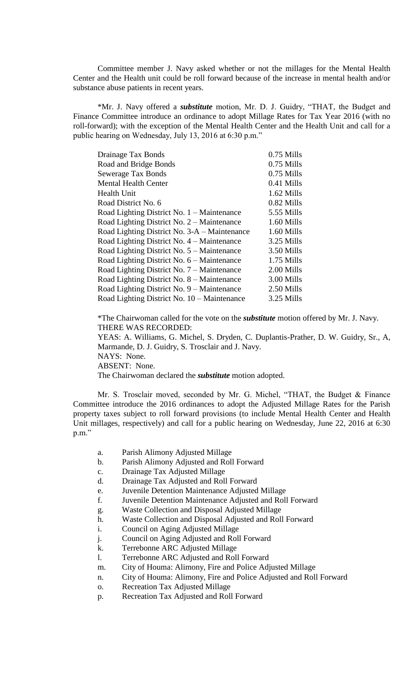Committee member J. Navy asked whether or not the millages for the Mental Health Center and the Health unit could be roll forward because of the increase in mental health and/or substance abuse patients in recent years.

\*Mr. J. Navy offered a *substitute* motion, Mr. D. J. Guidry, "THAT, the Budget and Finance Committee introduce an ordinance to adopt Millage Rates for Tax Year 2016 (with no roll-forward); with the exception of the Mental Health Center and the Health Unit and call for a public hearing on Wednesday, July 13, 2016 at 6:30 p.m."

| Drainage Tax Bonds                           | $0.75$ Mills |
|----------------------------------------------|--------------|
| Road and Bridge Bonds                        | $0.75$ Mills |
| Sewerage Tax Bonds                           | 0.75 Mills   |
| <b>Mental Health Center</b>                  | 0.41 Mills   |
| <b>Health Unit</b>                           | $1.62$ Mills |
| Road District No. 6                          | 0.82 Mills   |
| Road Lighting District No. $1 -$ Maintenance | 5.55 Mills   |
| Road Lighting District No. 2 – Maintenance   | 1.60 Mills   |
| Road Lighting District No. 3-A – Maintenance | 1.60 Mills   |
| Road Lighting District No. 4 – Maintenance   | 3.25 Mills   |
| Road Lighting District No. 5 – Maintenance   | 3.50 Mills   |
| Road Lighting District No. 6 – Maintenance   | 1.75 Mills   |
| Road Lighting District No. 7 – Maintenance   | 2.00 Mills   |
| Road Lighting District No. 8 – Maintenance   | 3.00 Mills   |
| Road Lighting District No. 9 – Maintenance   | 2.50 Mills   |
| Road Lighting District No. 10 – Maintenance  | 3.25 Mills   |

\*The Chairwoman called for the vote on the *substitute* motion offered by Mr. J. Navy. THERE WAS RECORDED:

YEAS: A. Williams, G. Michel, S. Dryden, C. Duplantis-Prather, D. W. Guidry, Sr., A, Marmande, D. J. Guidry, S. Trosclair and J. Navy. NAYS: None.

ABSENT: None.

The Chairwoman declared the *substitute* motion adopted.

Mr. S. Trosclair moved, seconded by Mr. G. Michel, "THAT, the Budget & Finance Committee introduce the 2016 ordinances to adopt the Adjusted Millage Rates for the Parish property taxes subject to roll forward provisions (to include Mental Health Center and Health Unit millages, respectively) and call for a public hearing on Wednesday, June 22, 2016 at 6:30 p.m."

- a. Parish Alimony Adjusted Millage
- b. Parish Alimony Adjusted and Roll Forward
- c. Drainage Tax Adjusted Millage
- d. Drainage Tax Adjusted and Roll Forward
- e. Juvenile Detention Maintenance Adjusted Millage
- f. Juvenile Detention Maintenance Adjusted and Roll Forward
- g. Waste Collection and Disposal Adjusted Millage
- h. Waste Collection and Disposal Adjusted and Roll Forward
- i. Council on Aging Adjusted Millage
- j. Council on Aging Adjusted and Roll Forward
- k. Terrebonne ARC Adjusted Millage
- l. Terrebonne ARC Adjusted and Roll Forward
- m. City of Houma: Alimony, Fire and Police Adjusted Millage
- n. City of Houma: Alimony, Fire and Police Adjusted and Roll Forward
- o. Recreation Tax Adjusted Millage
- p. Recreation Tax Adjusted and Roll Forward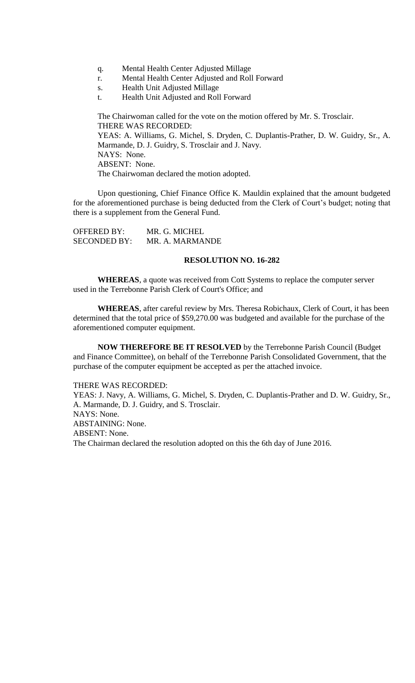- q. Mental Health Center Adjusted Millage
- r. Mental Health Center Adjusted and Roll Forward
- s. Health Unit Adjusted Millage
- t. Health Unit Adjusted and Roll Forward

The Chairwoman called for the vote on the motion offered by Mr. S. Trosclair. THERE WAS RECORDED: YEAS: A. Williams, G. Michel, S. Dryden, C. Duplantis-Prather, D. W. Guidry, Sr., A. Marmande, D. J. Guidry, S. Trosclair and J. Navy. NAYS: None. ABSENT: None. The Chairwoman declared the motion adopted.

Upon questioning, Chief Finance Office K. Mauldin explained that the amount budgeted for the aforementioned purchase is being deducted from the Clerk of Court's budget; noting that there is a supplement from the General Fund.

| <b>OFFERED BY:</b>  | MR. G. MICHEL   |
|---------------------|-----------------|
| <b>SECONDED BY:</b> | MR. A. MARMANDE |

# **RESOLUTION NO. 16-282**

**WHEREAS**, a quote was received from Cott Systems to replace the computer server used in the Terrebonne Parish Clerk of Court's Office; and

**WHEREAS**, after careful review by Mrs. Theresa Robichaux, Clerk of Court, it has been determined that the total price of \$59,270.00 was budgeted and available for the purchase of the aforementioned computer equipment.

**NOW THEREFORE BE IT RESOLVED** by the Terrebonne Parish Council (Budget and Finance Committee), on behalf of the Terrebonne Parish Consolidated Government, that the purchase of the computer equipment be accepted as per the attached invoice.

## THERE WAS RECORDED:

YEAS: J. Navy, A. Williams, G. Michel, S. Dryden, C. Duplantis-Prather and D. W. Guidry, Sr., A. Marmande, D. J. Guidry, and S. Trosclair. NAYS: None. ABSTAINING: None. ABSENT: None. The Chairman declared the resolution adopted on this the 6th day of June 2016.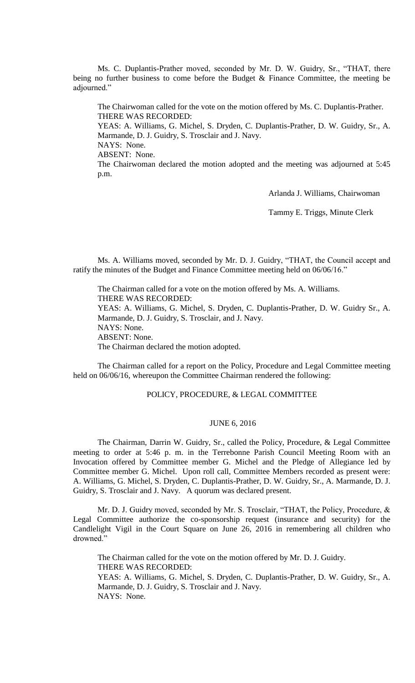Ms. C. Duplantis-Prather moved, seconded by Mr. D. W. Guidry, Sr., "THAT, there being no further business to come before the Budget & Finance Committee, the meeting be adjourned."

The Chairwoman called for the vote on the motion offered by Ms. C. Duplantis-Prather. THERE WAS RECORDED:

YEAS: A. Williams, G. Michel, S. Dryden, C. Duplantis-Prather, D. W. Guidry, Sr., A. Marmande, D. J. Guidry, S. Trosclair and J. Navy. NAYS: None.

ABSENT: None.

The Chairwoman declared the motion adopted and the meeting was adjourned at 5:45 p.m.

Arlanda J. Williams, Chairwoman

Tammy E. Triggs, Minute Clerk

Ms. A. Williams moved, seconded by Mr. D. J. Guidry, "THAT, the Council accept and ratify the minutes of the Budget and Finance Committee meeting held on 06/06/16."

The Chairman called for a vote on the motion offered by Ms. A. Williams. THERE WAS RECORDED: YEAS: A. Williams, G. Michel, S. Dryden, C. Duplantis-Prather, D. W. Guidry Sr., A. Marmande, D. J. Guidry, S. Trosclair, and J. Navy. NAYS: None. ABSENT: None. The Chairman declared the motion adopted.

The Chairman called for a report on the Policy, Procedure and Legal Committee meeting held on 06/06/16, whereupon the Committee Chairman rendered the following:

# POLICY, PROCEDURE, & LEGAL COMMITTEE

# JUNE 6, 2016

The Chairman, Darrin W. Guidry, Sr., called the Policy, Procedure, & Legal Committee meeting to order at 5:46 p. m. in the Terrebonne Parish Council Meeting Room with an Invocation offered by Committee member G. Michel and the Pledge of Allegiance led by Committee member G. Michel. Upon roll call, Committee Members recorded as present were: A. Williams, G. Michel, S. Dryden, C. Duplantis-Prather, D. W. Guidry, Sr., A. Marmande, D. J. Guidry, S. Trosclair and J. Navy. A quorum was declared present.

Mr. D. J. Guidry moved, seconded by Mr. S. Trosclair, "THAT, the Policy, Procedure, & Legal Committee authorize the co-sponsorship request (insurance and security) for the Candlelight Vigil in the Court Square on June 26, 2016 in remembering all children who drowned."

The Chairman called for the vote on the motion offered by Mr. D. J. Guidry. THERE WAS RECORDED: YEAS: A. Williams, G. Michel, S. Dryden, C. Duplantis-Prather, D. W. Guidry, Sr., A. Marmande, D. J. Guidry, S. Trosclair and J. Navy. NAYS: None.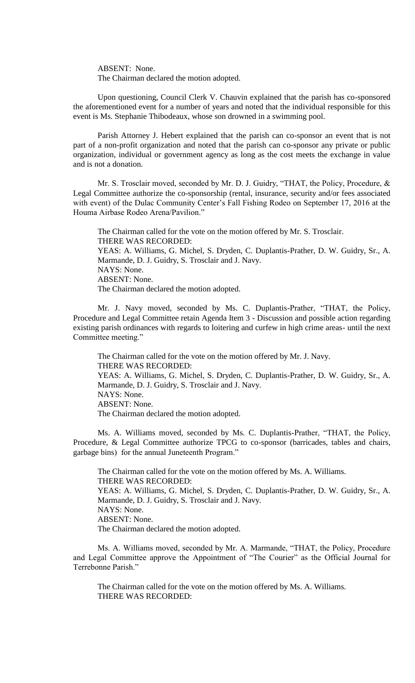ABSENT: None. The Chairman declared the motion adopted.

Upon questioning, Council Clerk V. Chauvin explained that the parish has co-sponsored the aforementioned event for a number of years and noted that the individual responsible for this event is Ms. Stephanie Thibodeaux, whose son drowned in a swimming pool.

Parish Attorney J. Hebert explained that the parish can co-sponsor an event that is not part of a non-profit organization and noted that the parish can co-sponsor any private or public organization, individual or government agency as long as the cost meets the exchange in value and is not a donation.

Mr. S. Trosclair moved, seconded by Mr. D. J. Guidry, "THAT, the Policy, Procedure, & Legal Committee authorize the co-sponsorship (rental, insurance, security and/or fees associated with event) of the Dulac Community Center's Fall Fishing Rodeo on September 17, 2016 at the Houma Airbase Rodeo Arena/Pavilion."

The Chairman called for the vote on the motion offered by Mr. S. Trosclair. THERE WAS RECORDED: YEAS: A. Williams, G. Michel, S. Dryden, C. Duplantis-Prather, D. W. Guidry, Sr., A. Marmande, D. J. Guidry, S. Trosclair and J. Navy. NAYS: None. ABSENT: None. The Chairman declared the motion adopted.

Mr. J. Navy moved, seconded by Ms. C. Duplantis-Prather, "THAT, the Policy, Procedure and Legal Committee retain Agenda Item 3 - Discussion and possible action regarding existing parish ordinances with regards to loitering and curfew in high crime areas- until the next Committee meeting."

The Chairman called for the vote on the motion offered by Mr. J. Navy. THERE WAS RECORDED: YEAS: A. Williams, G. Michel, S. Dryden, C. Duplantis-Prather, D. W. Guidry, Sr., A. Marmande, D. J. Guidry, S. Trosclair and J. Navy. NAYS: None. ABSENT: None. The Chairman declared the motion adopted.

Ms. A. Williams moved, seconded by Ms. C. Duplantis-Prather, "THAT, the Policy, Procedure, & Legal Committee authorize TPCG to co-sponsor (barricades, tables and chairs, garbage bins) for the annual Juneteenth Program."

The Chairman called for the vote on the motion offered by Ms. A. Williams. THERE WAS RECORDED: YEAS: A. Williams, G. Michel, S. Dryden, C. Duplantis-Prather, D. W. Guidry, Sr., A. Marmande, D. J. Guidry, S. Trosclair and J. Navy. NAYS: None. ABSENT: None. The Chairman declared the motion adopted.

Ms. A. Williams moved, seconded by Mr. A. Marmande, "THAT, the Policy, Procedure and Legal Committee approve the Appointment of "The Courier" as the Official Journal for Terrebonne Parish."

The Chairman called for the vote on the motion offered by Ms. A. Williams. THERE WAS RECORDED: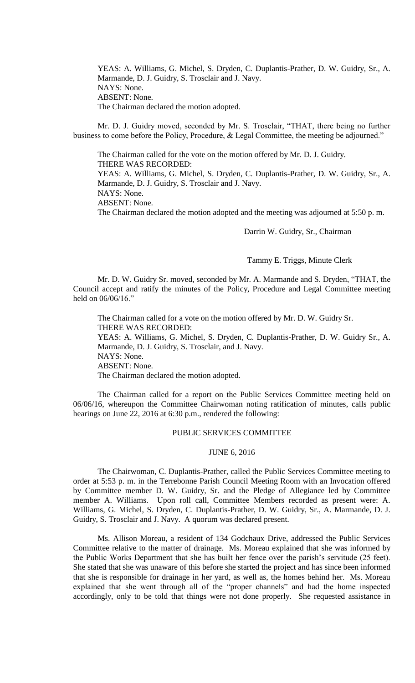YEAS: A. Williams, G. Michel, S. Dryden, C. Duplantis-Prather, D. W. Guidry, Sr., A. Marmande, D. J. Guidry, S. Trosclair and J. Navy. NAYS: None. ABSENT: None. The Chairman declared the motion adopted.

Mr. D. J. Guidry moved, seconded by Mr. S. Trosclair, "THAT, there being no further business to come before the Policy, Procedure, & Legal Committee, the meeting be adjourned."

The Chairman called for the vote on the motion offered by Mr. D. J. Guidry. THERE WAS RECORDED: YEAS: A. Williams, G. Michel, S. Dryden, C. Duplantis-Prather, D. W. Guidry, Sr., A. Marmande, D. J. Guidry, S. Trosclair and J. Navy. NAYS: None. ABSENT: None. The Chairman declared the motion adopted and the meeting was adjourned at 5:50 p. m.

Darrin W. Guidry, Sr., Chairman

Tammy E. Triggs, Minute Clerk

Mr. D. W. Guidry Sr. moved, seconded by Mr. A. Marmande and S. Dryden, "THAT, the Council accept and ratify the minutes of the Policy, Procedure and Legal Committee meeting held on 06/06/16."

The Chairman called for a vote on the motion offered by Mr. D. W. Guidry Sr. THERE WAS RECORDED: YEAS: A. Williams, G. Michel, S. Dryden, C. Duplantis-Prather, D. W. Guidry Sr., A. Marmande, D. J. Guidry, S. Trosclair, and J. Navy. NAYS: None. ABSENT: None. The Chairman declared the motion adopted.

The Chairman called for a report on the Public Services Committee meeting held on 06/06/16, whereupon the Committee Chairwoman noting ratification of minutes, calls public hearings on June 22, 2016 at 6:30 p.m., rendered the following:

# PUBLIC SERVICES COMMITTEE

#### JUNE 6, 2016

The Chairwoman, C. Duplantis-Prather, called the Public Services Committee meeting to order at 5:53 p. m. in the Terrebonne Parish Council Meeting Room with an Invocation offered by Committee member D. W. Guidry, Sr. and the Pledge of Allegiance led by Committee member A. Williams. Upon roll call, Committee Members recorded as present were: A. Williams, G. Michel, S. Dryden, C. Duplantis-Prather, D. W. Guidry, Sr., A. Marmande, D. J. Guidry, S. Trosclair and J. Navy. A quorum was declared present.

Ms. Allison Moreau, a resident of 134 Godchaux Drive, addressed the Public Services Committee relative to the matter of drainage. Ms. Moreau explained that she was informed by the Public Works Department that she has built her fence over the parish's servitude (25 feet). She stated that she was unaware of this before she started the project and has since been informed that she is responsible for drainage in her yard, as well as, the homes behind her. Ms. Moreau explained that she went through all of the "proper channels" and had the home inspected accordingly, only to be told that things were not done properly. She requested assistance in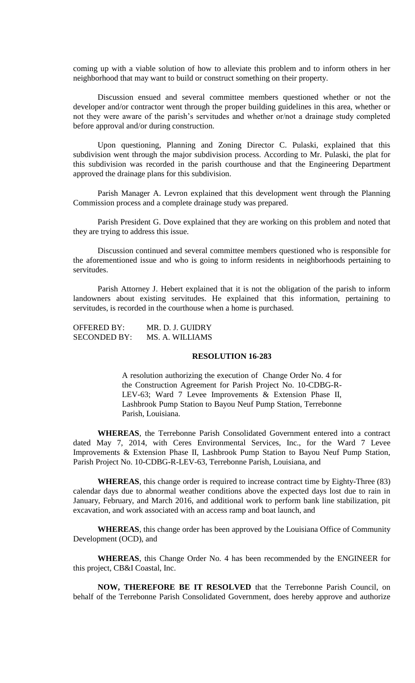coming up with a viable solution of how to alleviate this problem and to inform others in her neighborhood that may want to build or construct something on their property.

Discussion ensued and several committee members questioned whether or not the developer and/or contractor went through the proper building guidelines in this area, whether or not they were aware of the parish's servitudes and whether or/not a drainage study completed before approval and/or during construction.

Upon questioning, Planning and Zoning Director C. Pulaski, explained that this subdivision went through the major subdivision process. According to Mr. Pulaski, the plat for this subdivision was recorded in the parish courthouse and that the Engineering Department approved the drainage plans for this subdivision.

Parish Manager A. Levron explained that this development went through the Planning Commission process and a complete drainage study was prepared.

Parish President G. Dove explained that they are working on this problem and noted that they are trying to address this issue.

Discussion continued and several committee members questioned who is responsible for the aforementioned issue and who is going to inform residents in neighborhoods pertaining to servitudes.

Parish Attorney J. Hebert explained that it is not the obligation of the parish to inform landowners about existing servitudes. He explained that this information, pertaining to servitudes, is recorded in the courthouse when a home is purchased.

OFFERED BY: MR. D. J. GUIDRY SECONDED BY: MS. A. WILLIAMS

# **RESOLUTION 16-283**

A resolution authorizing the execution of Change Order No. 4 for the Construction Agreement for Parish Project No. 10-CDBG-R-LEV-63; Ward 7 Levee Improvements & Extension Phase II, Lashbrook Pump Station to Bayou Neuf Pump Station, Terrebonne Parish, Louisiana.

**WHEREAS**, the Terrebonne Parish Consolidated Government entered into a contract dated May 7, 2014, with Ceres Environmental Services, Inc., for the Ward 7 Levee Improvements & Extension Phase II, Lashbrook Pump Station to Bayou Neuf Pump Station, Parish Project No. 10-CDBG-R-LEV-63, Terrebonne Parish, Louisiana, and

**WHEREAS**, this change order is required to increase contract time by Eighty-Three (83) calendar days due to abnormal weather conditions above the expected days lost due to rain in January, February, and March 2016, and additional work to perform bank line stabilization, pit excavation, and work associated with an access ramp and boat launch, and

**WHEREAS**, this change order has been approved by the Louisiana Office of Community Development (OCD), and

**WHEREAS**, this Change Order No. 4 has been recommended by the ENGINEER for this project, CB&I Coastal, Inc.

**NOW, THEREFORE BE IT RESOLVED** that the Terrebonne Parish Council, on behalf of the Terrebonne Parish Consolidated Government, does hereby approve and authorize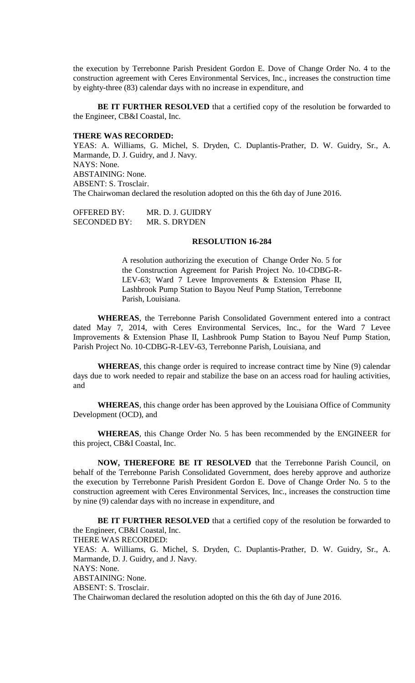the execution by Terrebonne Parish President Gordon E. Dove of Change Order No. 4 to the construction agreement with Ceres Environmental Services, Inc., increases the construction time by eighty-three (83) calendar days with no increase in expenditure, and

**BE IT FURTHER RESOLVED** that a certified copy of the resolution be forwarded to the Engineer, CB&I Coastal, Inc.

# **THERE WAS RECORDED:**

YEAS: A. Williams, G. Michel, S. Dryden, C. Duplantis-Prather, D. W. Guidry, Sr., A. Marmande, D. J. Guidry, and J. Navy. NAYS: None. ABSTAINING: None. ABSENT: S. Trosclair. The Chairwoman declared the resolution adopted on this the 6th day of June 2016.

OFFERED BY: MR. D. J. GUIDRY SECONDED BY: MR. S. DRYDEN

#### **RESOLUTION 16-284**

A resolution authorizing the execution of Change Order No. 5 for the Construction Agreement for Parish Project No. 10-CDBG-R-LEV-63; Ward 7 Levee Improvements & Extension Phase II, Lashbrook Pump Station to Bayou Neuf Pump Station, Terrebonne Parish, Louisiana.

**WHEREAS**, the Terrebonne Parish Consolidated Government entered into a contract dated May 7, 2014, with Ceres Environmental Services, Inc., for the Ward 7 Levee Improvements & Extension Phase II, Lashbrook Pump Station to Bayou Neuf Pump Station, Parish Project No. 10-CDBG-R-LEV-63, Terrebonne Parish, Louisiana, and

**WHEREAS**, this change order is required to increase contract time by Nine (9) calendar days due to work needed to repair and stabilize the base on an access road for hauling activities, and

**WHEREAS**, this change order has been approved by the Louisiana Office of Community Development (OCD), and

**WHEREAS**, this Change Order No. 5 has been recommended by the ENGINEER for this project, CB&I Coastal, Inc.

**NOW, THEREFORE BE IT RESOLVED** that the Terrebonne Parish Council, on behalf of the Terrebonne Parish Consolidated Government, does hereby approve and authorize the execution by Terrebonne Parish President Gordon E. Dove of Change Order No. 5 to the construction agreement with Ceres Environmental Services, Inc., increases the construction time by nine (9) calendar days with no increase in expenditure, and

**BE IT FURTHER RESOLVED** that a certified copy of the resolution be forwarded to the Engineer, CB&I Coastal, Inc. THERE WAS RECORDED: YEAS: A. Williams, G. Michel, S. Dryden, C. Duplantis-Prather, D. W. Guidry, Sr., A. Marmande, D. J. Guidry, and J. Navy. NAYS: None. ABSTAINING: None. ABSENT: S. Trosclair. The Chairwoman declared the resolution adopted on this the 6th day of June 2016.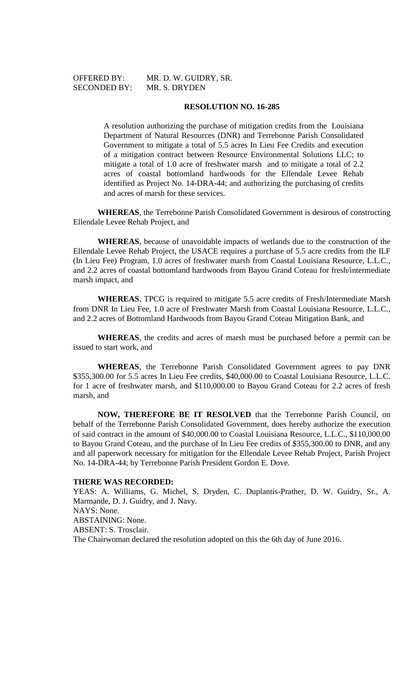OFFERED BY: MR. D. W. GUIDRY, SR.

## **RESOLUTION NO. 16-285**

A resolution authorizing the purchase of mitigation credits from the Louisiana Department of Natural Resources (DNR) and Terrebonne Parish Consolidated Government to mitigate a total of 5.5 acres In Lieu Fee Credits and execution of a mitigation contract between Resource Environmental Solutions LLC; to mitigate a total of 1.0 acre of freshwater marsh and to mitigate a total of 2.2 acres of coastal bottomland hardwoods for the Ellendale Levee Rehab identified as Project No. 14-DRA-44; and authorizing the purchasing of credits and acres of marsh for these services.

**WHEREAS**, the Terrebonne Parish Consolidated Government is desirous of constructing Ellendale Levee Rehab Project, and

**WHEREAS**, because of unavoidable impacts of wetlands due to the construction of the Ellendale Levee Rehab Project, the USACE requires a purchase of 5.5 acre credits from the ILF (In Lieu Fee) Program, 1.0 acres of freshwater marsh from Coastal Louisiana Resource, L.L.C., and 2.2 acres of coastal bottomland hardwoods from Bayou Grand Coteau for fresh/intermediate marsh impact, and

**WHEREAS**, TPCG is required to mitigate 5.5 acre credits of Fresh/Intermediate Marsh from DNR In Lieu Fee, 1.0 acre of Freshwater Marsh from Coastal Louisiana Resource, L.L.C., and 2.2 acres of Bottomland Hardwoods from Bayou Grand Coteau Mitigation Bank, and

**WHEREAS**, the credits and acres of marsh must be purchased before a permit can be issued to start work, and

**WHEREAS**, the Terrebonne Parish Consolidated Government agrees to pay DNR \$355,300.00 for 5.5 acres In Lieu Fee credits, \$40,000.00 to Coastal Louisiana Resource, L.L.C. for 1 acre of freshwater marsh, and \$110,000.00 to Bayou Grand Coteau for 2.2 acres of fresh marsh, and

**NOW, THEREFORE BE IT RESOLVED** that the Terrebonne Parish Council, on behalf of the Terrebonne Parish Consolidated Government, does hereby authorize the execution of said contract in the amount of \$40,000.00 to Coastal Louisiana Resource, L.L.C., \$110,000.00 to Bayou Grand Coteau, and the purchase of In Lieu Fee credits of \$355,300.00 to DNR, and any and all paperwork necessary for mitigation for the Ellendale Levee Rehab Project, Parish Project No. 14-DRA-44; by Terrebonne Parish President Gordon E. Dove.

#### **THERE WAS RECORDED:**

YEAS: A. Williams, G. Michel, S. Dryden, C. Duplantis-Prather, D. W. Guidry, Sr., A. Marmande, D. J. Guidry, and J. Navy. NAYS: None. ABSTAINING: None. ABSENT: S. Trosclair. The Chairwoman declared the resolution adopted on this the 6th day of June 2016.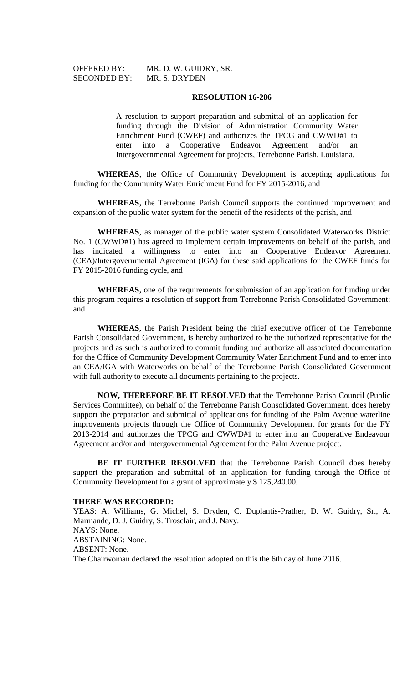SECONDED BY: MR. S. DRYDEN

OFFERED BY: MR. D. W. GUIDRY, SR.

### **RESOLUTION 16-286**

A resolution to support preparation and submittal of an application for funding through the Division of Administration Community Water Enrichment Fund (CWEF) and authorizes the TPCG and CWWD#1 to enter into a Cooperative Endeavor Agreement and/or an Intergovernmental Agreement for projects, Terrebonne Parish, Louisiana.

**WHEREAS**, the Office of Community Development is accepting applications for funding for the Community Water Enrichment Fund for FY 2015-2016, and

**WHEREAS**, the Terrebonne Parish Council supports the continued improvement and expansion of the public water system for the benefit of the residents of the parish, and

**WHEREAS**, as manager of the public water system Consolidated Waterworks District No. 1 (CWWD#1) has agreed to implement certain improvements on behalf of the parish, and has indicated a willingness to enter into an Cooperative Endeavor Agreement (CEA)/Intergovernmental Agreement (IGA) for these said applications for the CWEF funds for FY 2015-2016 funding cycle, and

**WHEREAS**, one of the requirements for submission of an application for funding under this program requires a resolution of support from Terrebonne Parish Consolidated Government; and

**WHEREAS**, the Parish President being the chief executive officer of the Terrebonne Parish Consolidated Government, is hereby authorized to be the authorized representative for the projects and as such is authorized to commit funding and authorize all associated documentation for the Office of Community Development Community Water Enrichment Fund and to enter into an CEA/IGA with Waterworks on behalf of the Terrebonne Parish Consolidated Government with full authority to execute all documents pertaining to the projects.

**NOW, THEREFORE BE IT RESOLVED** that the Terrebonne Parish Council (Public Services Committee), on behalf of the Terrebonne Parish Consolidated Government, does hereby support the preparation and submittal of applications for funding of the Palm Avenue waterline improvements projects through the Office of Community Development for grants for the FY 2013-2014 and authorizes the TPCG and CWWD#1 to enter into an Cooperative Endeavour Agreement and/or and Intergovernmental Agreement for the Palm Avenue project.

**BE IT FURTHER RESOLVED** that the Terrebonne Parish Council does hereby support the preparation and submittal of an application for funding through the Office of Community Development for a grant of approximately \$ 125,240.00.

# **THERE WAS RECORDED:**

YEAS: A. Williams, G. Michel, S. Dryden, C. Duplantis-Prather, D. W. Guidry, Sr., A. Marmande, D. J. Guidry, S. Trosclair, and J. Navy. NAYS: None. ABSTAINING: None. ABSENT: None. The Chairwoman declared the resolution adopted on this the 6th day of June 2016.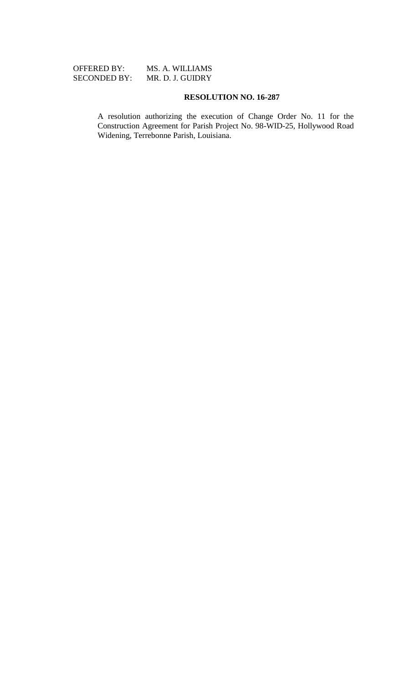# OFFERED BY: MS. A. WILLIAMS SECONDED BY: MR. D. J. GUIDRY

# **RESOLUTION NO. 16-287**

A resolution authorizing the execution of Change Order No. 11 for the Construction Agreement for Parish Project No. 98-WID-25, Hollywood Road Widening, Terrebonne Parish, Louisiana.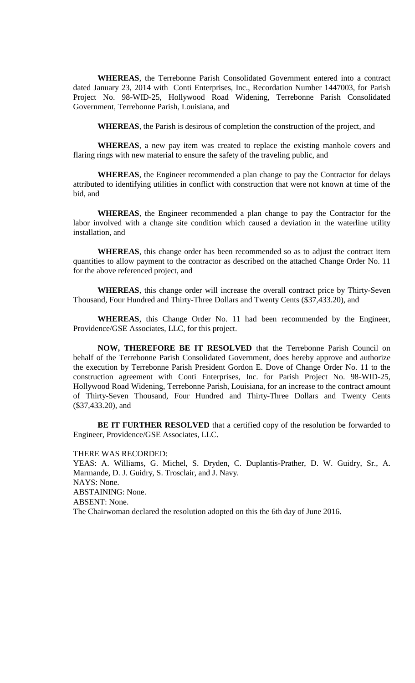**WHEREAS**, the Terrebonne Parish Consolidated Government entered into a contract dated January 23, 2014 with Conti Enterprises, Inc., Recordation Number 1447003, for Parish Project No. 98-WID-25, Hollywood Road Widening, Terrebonne Parish Consolidated Government, Terrebonne Parish, Louisiana, and

**WHEREAS**, the Parish is desirous of completion the construction of the project, and

**WHEREAS**, a new pay item was created to replace the existing manhole covers and flaring rings with new material to ensure the safety of the traveling public, and

**WHEREAS**, the Engineer recommended a plan change to pay the Contractor for delays attributed to identifying utilities in conflict with construction that were not known at time of the bid, and

**WHEREAS**, the Engineer recommended a plan change to pay the Contractor for the labor involved with a change site condition which caused a deviation in the waterline utility installation, and

**WHEREAS**, this change order has been recommended so as to adjust the contract item quantities to allow payment to the contractor as described on the attached Change Order No. 11 for the above referenced project, and

**WHEREAS**, this change order will increase the overall contract price by Thirty-Seven Thousand, Four Hundred and Thirty-Three Dollars and Twenty Cents (\$37,433.20), and

**WHEREAS**, this Change Order No. 11 had been recommended by the Engineer, Providence/GSE Associates, LLC, for this project.

**NOW, THEREFORE BE IT RESOLVED** that the Terrebonne Parish Council on behalf of the Terrebonne Parish Consolidated Government, does hereby approve and authorize the execution by Terrebonne Parish President Gordon E. Dove of Change Order No. 11 to the construction agreement with Conti Enterprises, Inc. for Parish Project No. 98-WID-25, Hollywood Road Widening, Terrebonne Parish, Louisiana, for an increase to the contract amount of Thirty-Seven Thousand, Four Hundred and Thirty-Three Dollars and Twenty Cents (\$37,433.20), and

**BE IT FURTHER RESOLVED** that a certified copy of the resolution be forwarded to Engineer, Providence/GSE Associates, LLC.

THERE WAS RECORDED: YEAS: A. Williams, G. Michel, S. Dryden, C. Duplantis-Prather, D. W. Guidry, Sr., A. Marmande, D. J. Guidry, S. Trosclair, and J. Navy. NAYS: None. ABSTAINING: None. ABSENT: None. The Chairwoman declared the resolution adopted on this the 6th day of June 2016.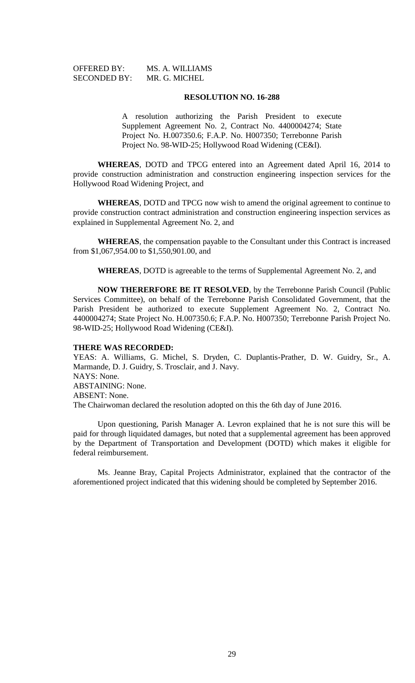| <b>OFFERED BY:</b>  | MS. A. WILLIAMS |
|---------------------|-----------------|
| <b>SECONDED BY:</b> | MR. G. MICHEL   |

#### **RESOLUTION NO. 16-288**

A resolution authorizing the Parish President to execute Supplement Agreement No. 2, Contract No. 4400004274; State Project No. H.007350.6; F.A.P. No. H007350; Terrebonne Parish Project No. 98-WID-25; Hollywood Road Widening (CE&I).

**WHEREAS**, DOTD and TPCG entered into an Agreement dated April 16, 2014 to provide construction administration and construction engineering inspection services for the Hollywood Road Widening Project, and

**WHEREAS**, DOTD and TPCG now wish to amend the original agreement to continue to provide construction contract administration and construction engineering inspection services as explained in Supplemental Agreement No. 2, and

**WHEREAS**, the compensation payable to the Consultant under this Contract is increased from \$1,067,954.00 to \$1,550,901.00, and

**WHEREAS**, DOTD is agreeable to the terms of Supplemental Agreement No. 2, and

**NOW THERERFORE BE IT RESOLVED**, by the Terrebonne Parish Council (Public Services Committee), on behalf of the Terrebonne Parish Consolidated Government, that the Parish President be authorized to execute Supplement Agreement No. 2, Contract No. 4400004274; State Project No. H.007350.6; F.A.P. No. H007350; Terrebonne Parish Project No. 98-WID-25; Hollywood Road Widening (CE&I).

# **THERE WAS RECORDED:**

YEAS: A. Williams, G. Michel, S. Dryden, C. Duplantis-Prather, D. W. Guidry, Sr., A. Marmande, D. J. Guidry, S. Trosclair, and J. Navy. NAYS: None. ABSTAINING: None. ABSENT: None. The Chairwoman declared the resolution adopted on this the 6th day of June 2016.

Upon questioning, Parish Manager A. Levron explained that he is not sure this will be paid for through liquidated damages, but noted that a supplemental agreement has been approved by the Department of Transportation and Development (DOTD) which makes it eligible for federal reimbursement.

Ms. Jeanne Bray, Capital Projects Administrator, explained that the contractor of the aforementioned project indicated that this widening should be completed by September 2016.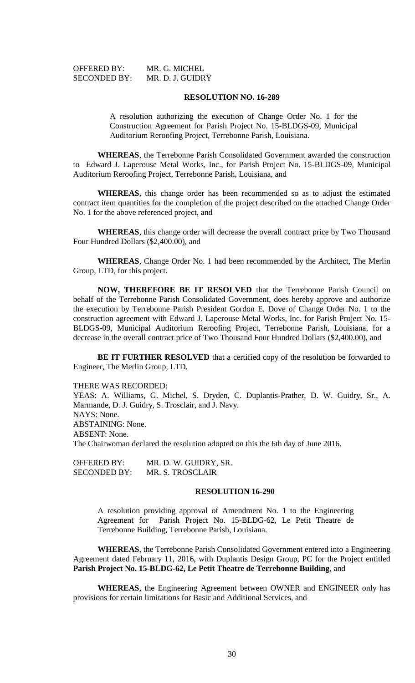| <b>OFFERED BY:</b>  | MR. G. MICHEL    |
|---------------------|------------------|
| <b>SECONDED BY:</b> | MR. D. J. GUIDRY |

#### **RESOLUTION NO. 16-289**

A resolution authorizing the execution of Change Order No. 1 for the Construction Agreement for Parish Project No. 15-BLDGS-09, Municipal Auditorium Reroofing Project, Terrebonne Parish, Louisiana.

**WHEREAS**, the Terrebonne Parish Consolidated Government awarded the construction to Edward J. Laperouse Metal Works, Inc., for Parish Project No. 15-BLDGS-09, Municipal Auditorium Reroofing Project, Terrebonne Parish, Louisiana, and

**WHEREAS**, this change order has been recommended so as to adjust the estimated contract item quantities for the completion of the project described on the attached Change Order No. 1 for the above referenced project, and

**WHEREAS**, this change order will decrease the overall contract price by Two Thousand Four Hundred Dollars (\$2,400.00), and

**WHEREAS**, Change Order No. 1 had been recommended by the Architect, The Merlin Group, LTD, for this project.

**NOW, THEREFORE BE IT RESOLVED** that the Terrebonne Parish Council on behalf of the Terrebonne Parish Consolidated Government, does hereby approve and authorize the execution by Terrebonne Parish President Gordon E. Dove of Change Order No. 1 to the construction agreement with Edward J. Laperouse Metal Works, Inc. for Parish Project No. 15- BLDGS-09, Municipal Auditorium Reroofing Project, Terrebonne Parish, Louisiana, for a decrease in the overall contract price of Two Thousand Four Hundred Dollars (\$2,400.00), and

**BE IT FURTHER RESOLVED** that a certified copy of the resolution be forwarded to Engineer, The Merlin Group, LTD.

#### THERE WAS RECORDED:

YEAS: A. Williams, G. Michel, S. Dryden, C. Duplantis-Prather, D. W. Guidry, Sr., A. Marmande, D. J. Guidry, S. Trosclair, and J. Navy. NAYS: None. ABSTAINING: None. ABSENT: None. The Chairwoman declared the resolution adopted on this the 6th day of June 2016.

OFFERED BY: MR. D. W. GUIDRY, SR. SECONDED BY: MR. S. TROSCLAIR

### **RESOLUTION 16-290**

A resolution providing approval of Amendment No. 1 to the Engineering Agreement for Parish Project No. 15-BLDG-62, Le Petit Theatre de Terrebonne Building, Terrebonne Parish, Louisiana.

**WHEREAS**, the Terrebonne Parish Consolidated Government entered into a Engineering Agreement dated February 11, 2016, with Duplantis Design Group, PC for the Project entitled **Parish Project No. 15-BLDG-62, Le Petit Theatre de Terrebonne Building**, and

**WHEREAS**, the Engineering Agreement between OWNER and ENGINEER only has provisions for certain limitations for Basic and Additional Services, and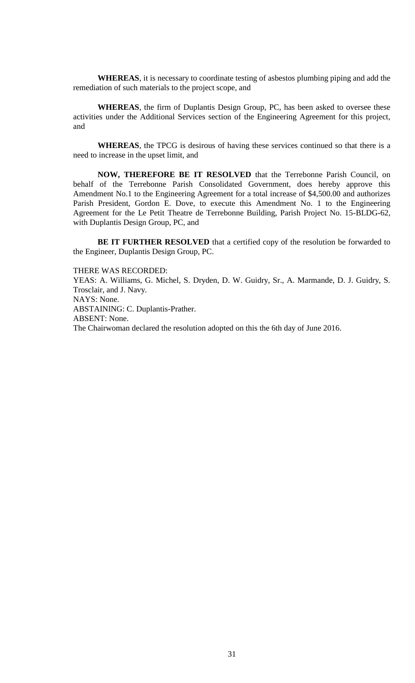**WHEREAS**, it is necessary to coordinate testing of asbestos plumbing piping and add the remediation of such materials to the project scope, and

**WHEREAS**, the firm of Duplantis Design Group, PC, has been asked to oversee these activities under the Additional Services section of the Engineering Agreement for this project, and

**WHEREAS**, the TPCG is desirous of having these services continued so that there is a need to increase in the upset limit, and

**NOW, THEREFORE BE IT RESOLVED** that the Terrebonne Parish Council, on behalf of the Terrebonne Parish Consolidated Government, does hereby approve this Amendment No.1 to the Engineering Agreement for a total increase of \$4,500.00 and authorizes Parish President, Gordon E. Dove, to execute this Amendment No. 1 to the Engineering Agreement for the Le Petit Theatre de Terrebonne Building, Parish Project No. 15-BLDG-62, with Duplantis Design Group, PC, and

**BE IT FURTHER RESOLVED** that a certified copy of the resolution be forwarded to the Engineer, Duplantis Design Group, PC.

#### THERE WAS RECORDED:

YEAS: A. Williams, G. Michel, S. Dryden, D. W. Guidry, Sr., A. Marmande, D. J. Guidry, S. Trosclair, and J. Navy. NAYS: None. ABSTAINING: C. Duplantis-Prather. ABSENT: None. The Chairwoman declared the resolution adopted on this the 6th day of June 2016.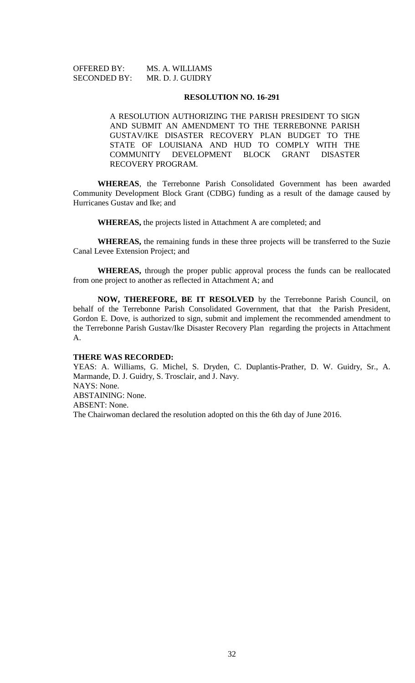| <b>OFFERED BY:</b>  | MS. A. WILLIAMS  |
|---------------------|------------------|
| <b>SECONDED BY:</b> | MR. D. J. GUIDRY |

#### **RESOLUTION NO. 16-291**

A RESOLUTION AUTHORIZING THE PARISH PRESIDENT TO SIGN AND SUBMIT AN AMENDMENT TO THE TERREBONNE PARISH GUSTAV/IKE DISASTER RECOVERY PLAN BUDGET TO THE STATE OF LOUISIANA AND HUD TO COMPLY WITH THE COMMUNITY DEVELOPMENT BLOCK GRANT DISASTER RECOVERY PROGRAM.

**WHEREAS**, the Terrebonne Parish Consolidated Government has been awarded Community Development Block Grant (CDBG) funding as a result of the damage caused by Hurricanes Gustav and Ike; and

**WHEREAS,** the projects listed in Attachment A are completed; and

**WHEREAS,** the remaining funds in these three projects will be transferred to the Suzie Canal Levee Extension Project; and

**WHEREAS,** through the proper public approval process the funds can be reallocated from one project to another as reflected in Attachment A; and

**NOW, THEREFORE, BE IT RESOLVED** by the Terrebonne Parish Council, on behalf of the Terrebonne Parish Consolidated Government, that that the Parish President, Gordon E. Dove, is authorized to sign, submit and implement the recommended amendment to the Terrebonne Parish Gustav/Ike Disaster Recovery Plan regarding the projects in Attachment A.

#### **THERE WAS RECORDED:**

YEAS: A. Williams, G. Michel, S. Dryden, C. Duplantis-Prather, D. W. Guidry, Sr., A. Marmande, D. J. Guidry, S. Trosclair, and J. Navy. NAYS: None. ABSTAINING: None. ABSENT: None. The Chairwoman declared the resolution adopted on this the 6th day of June 2016.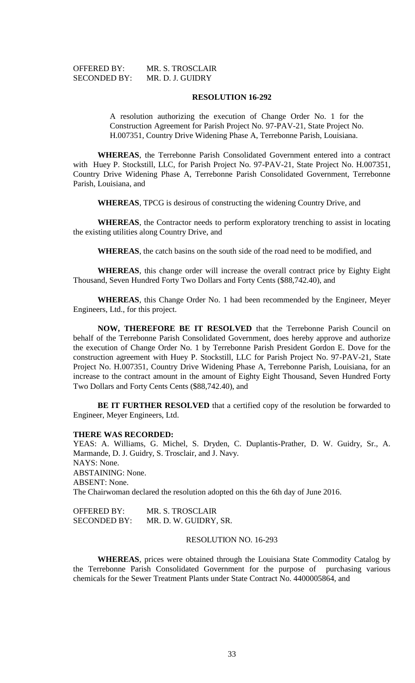| <b>OFFERED BY:</b>  | MR. S. TROSCLAIR |
|---------------------|------------------|
| <b>SECONDED BY:</b> | MR. D. J. GUIDRY |

#### **RESOLUTION 16-292**

A resolution authorizing the execution of Change Order No. 1 for the Construction Agreement for Parish Project No. 97-PAV-21, State Project No. H.007351, Country Drive Widening Phase A, Terrebonne Parish, Louisiana.

**WHEREAS**, the Terrebonne Parish Consolidated Government entered into a contract with Huey P. Stockstill, LLC, for Parish Project No. 97-PAV-21, State Project No. H.007351, Country Drive Widening Phase A, Terrebonne Parish Consolidated Government, Terrebonne Parish, Louisiana, and

**WHEREAS**, TPCG is desirous of constructing the widening Country Drive, and

**WHEREAS**, the Contractor needs to perform exploratory trenching to assist in locating the existing utilities along Country Drive, and

**WHEREAS**, the catch basins on the south side of the road need to be modified, and

**WHEREAS**, this change order will increase the overall contract price by Eighty Eight Thousand, Seven Hundred Forty Two Dollars and Forty Cents (\$88,742.40), and

**WHEREAS**, this Change Order No. 1 had been recommended by the Engineer, Meyer Engineers, Ltd., for this project.

**NOW, THEREFORE BE IT RESOLVED** that the Terrebonne Parish Council on behalf of the Terrebonne Parish Consolidated Government, does hereby approve and authorize the execution of Change Order No. 1 by Terrebonne Parish President Gordon E. Dove for the construction agreement with Huey P. Stockstill, LLC for Parish Project No. 97-PAV-21, State Project No. H.007351, Country Drive Widening Phase A, Terrebonne Parish, Louisiana, for an increase to the contract amount in the amount of Eighty Eight Thousand, Seven Hundred Forty Two Dollars and Forty Cents Cents (\$88,742.40), and

**BE IT FURTHER RESOLVED** that a certified copy of the resolution be forwarded to Engineer, Meyer Engineers, Ltd.

#### **THERE WAS RECORDED:**

YEAS: A. Williams, G. Michel, S. Dryden, C. Duplantis-Prather, D. W. Guidry, Sr., A. Marmande, D. J. Guidry, S. Trosclair, and J. Navy. NAYS: None. ABSTAINING: None. ABSENT: None. The Chairwoman declared the resolution adopted on this the 6th day of June 2016.

| <b>OFFERED BY:</b>  | MR. S. TROSCLAIR      |
|---------------------|-----------------------|
| <b>SECONDED BY:</b> | MR. D. W. GUIDRY, SR. |

# RESOLUTION NO. 16-293

**WHEREAS**, prices were obtained through the Louisiana State Commodity Catalog by the Terrebonne Parish Consolidated Government for the purpose of purchasing various chemicals for the Sewer Treatment Plants under State Contract No. 4400005864, and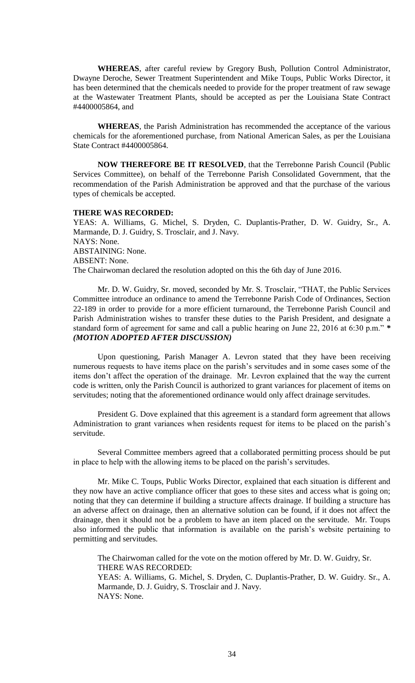**WHEREAS**, after careful review by Gregory Bush, Pollution Control Administrator, Dwayne Deroche, Sewer Treatment Superintendent and Mike Toups, Public Works Director, it has been determined that the chemicals needed to provide for the proper treatment of raw sewage at the Wastewater Treatment Plants, should be accepted as per the Louisiana State Contract #4400005864, and

**WHEREAS**, the Parish Administration has recommended the acceptance of the various chemicals for the aforementioned purchase, from National American Sales, as per the Louisiana State Contract #4400005864.

**NOW THEREFORE BE IT RESOLVED**, that the Terrebonne Parish Council (Public Services Committee), on behalf of the Terrebonne Parish Consolidated Government, that the recommendation of the Parish Administration be approved and that the purchase of the various types of chemicals be accepted.

#### **THERE WAS RECORDED:**

YEAS: A. Williams, G. Michel, S. Dryden, C. Duplantis-Prather, D. W. Guidry, Sr., A. Marmande, D. J. Guidry, S. Trosclair, and J. Navy. NAYS: None. ABSTAINING: None. ABSENT: None. The Chairwoman declared the resolution adopted on this the 6th day of June 2016.

Mr. D. W. Guidry, Sr. moved, seconded by Mr. S. Trosclair, "THAT, the Public Services Committee introduce an ordinance to amend the Terrebonne Parish Code of Ordinances, Section 22-189 in order to provide for a more efficient turnaround, the Terrebonne Parish Council and Parish Administration wishes to transfer these duties to the Parish President, and designate a standard form of agreement for same and call a public hearing on June 22, 2016 at 6:30 p.m." *\* (MOTION ADOPTED AFTER DISCUSSION)*

Upon questioning, Parish Manager A. Levron stated that they have been receiving numerous requests to have items place on the parish's servitudes and in some cases some of the items don't affect the operation of the drainage. Mr. Levron explained that the way the current code is written, only the Parish Council is authorized to grant variances for placement of items on servitudes; noting that the aforementioned ordinance would only affect drainage servitudes.

President G. Dove explained that this agreement is a standard form agreement that allows Administration to grant variances when residents request for items to be placed on the parish's servitude.

Several Committee members agreed that a collaborated permitting process should be put in place to help with the allowing items to be placed on the parish's servitudes.

Mr. Mike C. Toups, Public Works Director, explained that each situation is different and they now have an active compliance officer that goes to these sites and access what is going on; noting that they can determine if building a structure affects drainage. If building a structure has an adverse affect on drainage, then an alternative solution can be found, if it does not affect the drainage, then it should not be a problem to have an item placed on the servitude. Mr. Toups also informed the public that information is available on the parish's website pertaining to permitting and servitudes.

The Chairwoman called for the vote on the motion offered by Mr. D. W. Guidry, Sr. THERE WAS RECORDED: YEAS: A. Williams, G. Michel, S. Dryden, C. Duplantis-Prather, D. W. Guidry. Sr., A.

Marmande, D. J. Guidry, S. Trosclair and J. Navy. NAYS: None.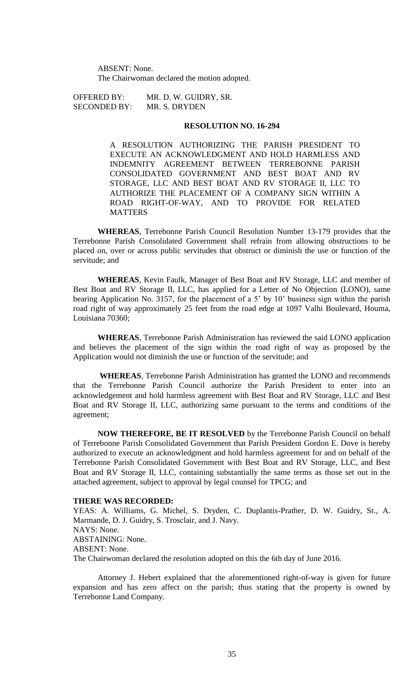ABSENT: None. The Chairwoman declared the motion adopted.

SECONDED BY: MR. S. DRYDEN

OFFERED BY: MR. D. W. GUIDRY, SR.

# **RESOLUTION NO. 16-294**

A RESOLUTION AUTHORIZING THE PARISH PRESIDENT TO EXECUTE AN ACKNOWLEDGMENT AND HOLD HARMLESS AND INDEMNITY AGREEMENT BETWEEN TERREBONNE PARISH CONSOLIDATED GOVERNMENT AND BEST BOAT AND RV STORAGE, LLC AND BEST BOAT AND RV STORAGE II, LLC TO AUTHORIZE THE PLACEMENT OF A COMPANY SIGN WITHIN A ROAD RIGHT-OF-WAY, AND TO PROVIDE FOR RELATED **MATTERS** 

**WHEREAS**, Terrebonne Parish Council Resolution Number 13-179 provides that the Terrebonne Parish Consolidated Government shall refrain from allowing obstructions to be placed on, over or across public servitudes that obstruct or diminish the use or function of the servitude; and

**WHEREAS**, Kevin Faulk, Manager of Best Boat and RV Storage, LLC and member of Best Boat and RV Storage II, LLC, has applied for a Letter of No Objection (LONO), same bearing Application No. 3157, for the placement of a 5' by 10' business sign within the parish road right of way approximately 25 feet from the road edge at 1097 Valhi Boulevard, Houma, Louisiana 70360;

**WHEREAS**, Terrebonne Parish Administration has reviewed the said LONO application and believes the placement of the sign within the road right of way as proposed by the Application would not diminish the use or function of the servitude; and

**WHEREAS**, Terrebonne Parish Administration has granted the LONO and recommends that the Terrebonne Parish Council authorize the Parish President to enter into an acknowledgement and hold harmless agreement with Best Boat and RV Storage, LLC and Best Boat and RV Storage II, LLC, authorizing same pursuant to the terms and conditions of the agreement;

**NOW THEREFORE, BE IT RESOLVED** by the Terrebonne Parish Council on behalf of Terrebonne Parish Consolidated Government that Parish President Gordon E. Dove is hereby authorized to execute an acknowledgment and hold harmless agreement for and on behalf of the Terrebonne Parish Consolidated Government with Best Boat and RV Storage, LLC, and Best Boat and RV Storage II, LLC, containing substantially the same terms as those set out in the attached agreement, subject to approval by legal counsel for TPCG; and

## **THERE WAS RECORDED:**

YEAS: A. Williams, G. Michel, S. Dryden, C. Duplantis-Prather, D. W. Guidry, Sr., A. Marmande, D. J. Guidry, S. Trosclair, and J. Navy. NAYS: None. ABSTAINING: None. ABSENT: None. The Chairwoman declared the resolution adopted on this the 6th day of June 2016.

Attorney J. Hebert explained that the aforementioned right-of-way is given for future expansion and has zero affect on the parish; thus stating that the property is owned by Terrebonne Land Company.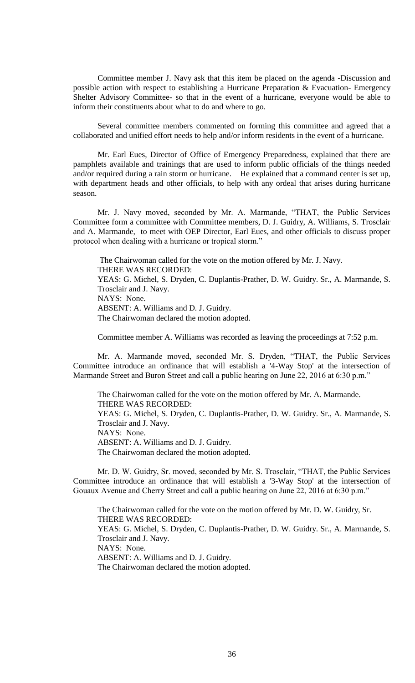Committee member J. Navy ask that this item be placed on the agenda -Discussion and possible action with respect to establishing a Hurricane Preparation & Evacuation- Emergency Shelter Advisory Committee- so that in the event of a hurricane, everyone would be able to inform their constituents about what to do and where to go.

Several committee members commented on forming this committee and agreed that a collaborated and unified effort needs to help and/or inform residents in the event of a hurricane.

Mr. Earl Eues, Director of Office of Emergency Preparedness, explained that there are pamphlets available and trainings that are used to inform public officials of the things needed and/or required during a rain storm or hurricane. He explained that a command center is set up, with department heads and other officials, to help with any ordeal that arises during hurricane season.

Mr. J. Navy moved, seconded by Mr. A. Marmande, "THAT, the Public Services Committee form a committee with Committee members, D. J. Guidry, A. Williams, S. Trosclair and A. Marmande, to meet with OEP Director, Earl Eues, and other officials to discuss proper protocol when dealing with a hurricane or tropical storm."

The Chairwoman called for the vote on the motion offered by Mr. J. Navy. THERE WAS RECORDED: YEAS: G. Michel, S. Dryden, C. Duplantis-Prather, D. W. Guidry. Sr., A. Marmande, S. Trosclair and J. Navy. NAYS: None. ABSENT: A. Williams and D. J. Guidry. The Chairwoman declared the motion adopted.

Committee member A. Williams was recorded as leaving the proceedings at 7:52 p.m.

Mr. A. Marmande moved, seconded Mr. S. Dryden, "THAT, the Public Services Committee introduce an ordinance that will establish a '4-Way Stop' at the intersection of Marmande Street and Buron Street and call a public hearing on June 22, 2016 at 6:30 p.m."

The Chairwoman called for the vote on the motion offered by Mr. A. Marmande. THERE WAS RECORDED: YEAS: G. Michel, S. Dryden, C. Duplantis-Prather, D. W. Guidry. Sr., A. Marmande, S. Trosclair and J. Navy. NAYS: None. ABSENT: A. Williams and D. J. Guidry. The Chairwoman declared the motion adopted.

Mr. D. W. Guidry, Sr. moved, seconded by Mr. S. Trosclair, "THAT, the Public Services Committee introduce an ordinance that will establish a '3-Way Stop' at the intersection of Gouaux Avenue and Cherry Street and call a public hearing on June 22, 2016 at 6:30 p.m."

The Chairwoman called for the vote on the motion offered by Mr. D. W. Guidry, Sr. THERE WAS RECORDED: YEAS: G. Michel, S. Dryden, C. Duplantis-Prather, D. W. Guidry. Sr., A. Marmande, S. Trosclair and J. Navy. NAYS: None. ABSENT: A. Williams and D. J. Guidry. The Chairwoman declared the motion adopted.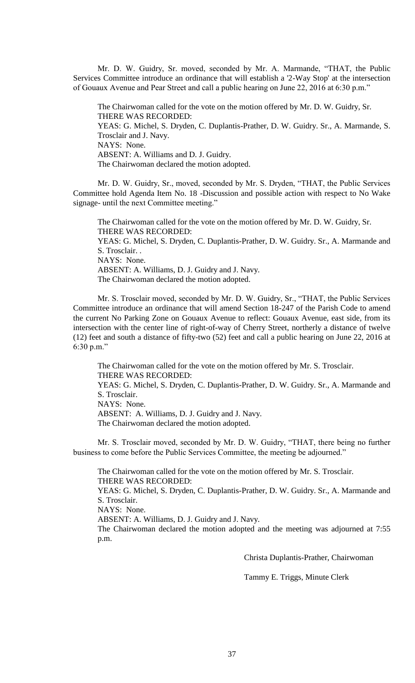Mr. D. W. Guidry, Sr. moved, seconded by Mr. A. Marmande, "THAT, the Public Services Committee introduce an ordinance that will establish a '2-Way Stop' at the intersection of Gouaux Avenue and Pear Street and call a public hearing on June 22, 2016 at 6:30 p.m."

The Chairwoman called for the vote on the motion offered by Mr. D. W. Guidry, Sr. THERE WAS RECORDED: YEAS: G. Michel, S. Dryden, C. Duplantis-Prather, D. W. Guidry. Sr., A. Marmande, S. Trosclair and J. Navy. NAYS: None. ABSENT: A. Williams and D. J. Guidry. The Chairwoman declared the motion adopted.

Mr. D. W. Guidry, Sr., moved, seconded by Mr. S. Dryden, "THAT, the Public Services Committee hold Agenda Item No. 18 -Discussion and possible action with respect to No Wake signage- until the next Committee meeting."

The Chairwoman called for the vote on the motion offered by Mr. D. W. Guidry, Sr. THERE WAS RECORDED: YEAS: G. Michel, S. Dryden, C. Duplantis-Prather, D. W. Guidry. Sr., A. Marmande and S. Trosclair. . NAYS: None. ABSENT: A. Williams, D. J. Guidry and J. Navy. The Chairwoman declared the motion adopted.

Mr. S. Trosclair moved, seconded by Mr. D. W. Guidry, Sr., "THAT, the Public Services Committee introduce an ordinance that will amend Section 18-247 of the Parish Code to amend the current No Parking Zone on Gouaux Avenue to reflect: Gouaux Avenue, east side, from its intersection with the center line of right-of-way of Cherry Street, northerly a distance of twelve (12) feet and south a distance of fifty-two (52) feet and call a public hearing on June 22, 2016 at 6:30 p.m."

The Chairwoman called for the vote on the motion offered by Mr. S. Trosclair. THERE WAS RECORDED: YEAS: G. Michel, S. Dryden, C. Duplantis-Prather, D. W. Guidry. Sr., A. Marmande and S. Trosclair. NAYS: None.

ABSENT: A. Williams, D. J. Guidry and J. Navy.

The Chairwoman declared the motion adopted.

Mr. S. Trosclair moved, seconded by Mr. D. W. Guidry, "THAT, there being no further business to come before the Public Services Committee, the meeting be adjourned."

The Chairwoman called for the vote on the motion offered by Mr. S. Trosclair. THERE WAS RECORDED: YEAS: G. Michel, S. Dryden, C. Duplantis-Prather, D. W. Guidry. Sr., A. Marmande and S. Trosclair. NAYS: None. ABSENT: A. Williams, D. J. Guidry and J. Navy. The Chairwoman declared the motion adopted and the meeting was adjourned at 7:55 p.m.

Christa Duplantis-Prather, Chairwoman

Tammy E. Triggs, Minute Clerk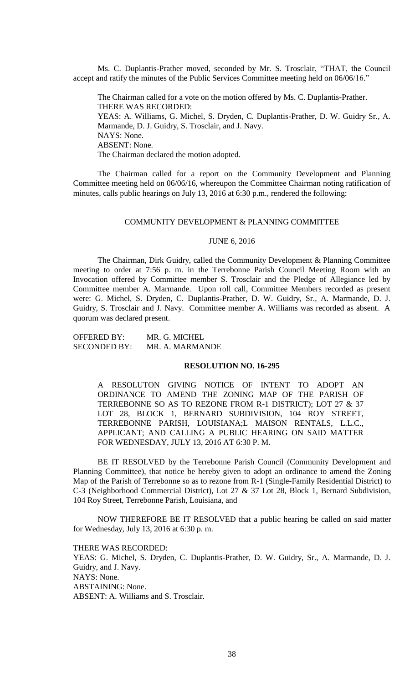Ms. C. Duplantis-Prather moved, seconded by Mr. S. Trosclair, "THAT, the Council accept and ratify the minutes of the Public Services Committee meeting held on 06/06/16."

The Chairman called for a vote on the motion offered by Ms. C. Duplantis-Prather. THERE WAS RECORDED: YEAS: A. Williams, G. Michel, S. Dryden, C. Duplantis-Prather, D. W. Guidry Sr., A. Marmande, D. J. Guidry, S. Trosclair, and J. Navy. NAYS: None. ABSENT: None. The Chairman declared the motion adopted.

The Chairman called for a report on the Community Development and Planning Committee meeting held on 06/06/16, whereupon the Committee Chairman noting ratification of minutes, calls public hearings on July 13, 2016 at 6:30 p.m., rendered the following:

# COMMUNITY DEVELOPMENT & PLANNING COMMITTEE

### JUNE 6, 2016

The Chairman, Dirk Guidry, called the Community Development & Planning Committee meeting to order at 7:56 p. m. in the Terrebonne Parish Council Meeting Room with an Invocation offered by Committee member S. Trosclair and the Pledge of Allegiance led by Committee member A. Marmande. Upon roll call, Committee Members recorded as present were: G. Michel, S. Dryden, C. Duplantis-Prather, D. W. Guidry, Sr., A. Marmande, D. J. Guidry, S. Trosclair and J. Navy. Committee member A. Williams was recorded as absent. A quorum was declared present.

| OFFERED BY:  | MR. G. MICHEL   |
|--------------|-----------------|
| SECONDED BY: | MR. A. MARMANDE |

#### **RESOLUTION NO. 16-295**

A RESOLUTON GIVING NOTICE OF INTENT TO ADOPT AN ORDINANCE TO AMEND THE ZONING MAP OF THE PARISH OF TERREBONNE SO AS TO REZONE FROM R-1 DISTRICT); LOT 27 & 37 LOT 28, BLOCK 1, BERNARD SUBDIVISION, 104 ROY STREET, TERREBONNE PARISH, LOUISIANA;L MAISON RENTALS, L.L.C., APPLICANT; AND CALLING A PUBLIC HEARING ON SAID MATTER FOR WEDNESDAY, JULY 13, 2016 AT 6:30 P. M.

BE IT RESOLVED by the Terrebonne Parish Council (Community Development and Planning Committee), that notice be hereby given to adopt an ordinance to amend the Zoning Map of the Parish of Terrebonne so as to rezone from R-1 (Single-Family Residential District) to C-3 (Neighborhood Commercial District), Lot 27 & 37 Lot 28, Block 1, Bernard Subdivision, 104 Roy Street, Terrebonne Parish, Louisiana, and

NOW THEREFORE BE IT RESOLVED that a public hearing be called on said matter for Wednesday, July 13, 2016 at 6:30 p. m.

THERE WAS RECORDED:

YEAS: G. Michel, S. Dryden, C. Duplantis-Prather, D. W. Guidry, Sr., A. Marmande, D. J. Guidry, and J. Navy. NAYS: None. ABSTAINING: None. ABSENT: A. Williams and S. Trosclair.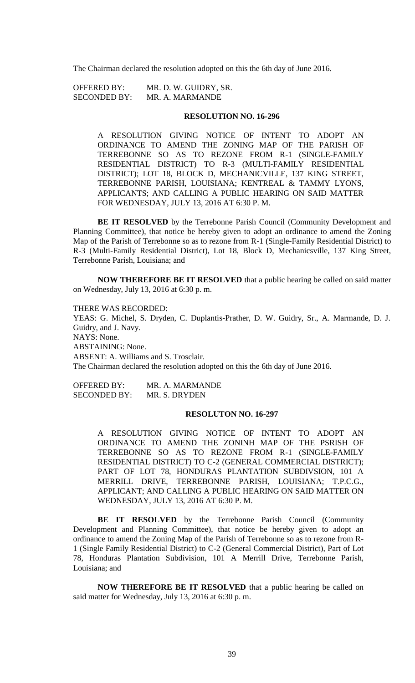The Chairman declared the resolution adopted on this the 6th day of June 2016.

OFFERED BY: MR. D. W. GUIDRY, SR. SECONDED BY: MR. A. MARMANDE

#### **RESOLUTION NO. 16-296**

A RESOLUTION GIVING NOTICE OF INTENT TO ADOPT AN ORDINANCE TO AMEND THE ZONING MAP OF THE PARISH OF TERREBONNE SO AS TO REZONE FROM R-1 (SINGLE-FAMILY RESIDENTIAL DISTRICT) TO R-3 (MULTI-FAMILY RESIDENTIAL DISTRICT); LOT 18, BLOCK D, MECHANICVILLE, 137 KING STREET, TERREBONNE PARISH, LOUISIANA; KENTREAL & TAMMY LYONS, APPLICANTS; AND CALLING A PUBLIC HEARING ON SAID MATTER FOR WEDNESDAY, JULY 13, 2016 AT 6:30 P. M.

**BE IT RESOLVED** by the Terrebonne Parish Council (Community Development and Planning Committee), that notice be hereby given to adopt an ordinance to amend the Zoning Map of the Parish of Terrebonne so as to rezone from R-1 (Single-Family Residential District) to R-3 (Multi-Family Residential District), Lot 18, Block D, Mechanicsville, 137 King Street, Terrebonne Parish, Louisiana; and

**NOW THEREFORE BE IT RESOLVED** that a public hearing be called on said matter on Wednesday, July 13, 2016 at 6:30 p. m.

THERE WAS RECORDED: YEAS: G. Michel, S. Dryden, C. Duplantis-Prather, D. W. Guidry, Sr., A. Marmande, D. J. Guidry, and J. Navy. NAYS: None. ABSTAINING: None. ABSENT: A. Williams and S. Trosclair. The Chairman declared the resolution adopted on this the 6th day of June 2016.

OFFERED BY: MR. A. MARMANDE SECONDED BY: MR. S. DRYDEN

#### **RESOLUTON NO. 16-297**

A RESOLUTION GIVING NOTICE OF INTENT TO ADOPT AN ORDINANCE TO AMEND THE ZONINH MAP OF THE PSRISH OF TERREBONNE SO AS TO REZONE FROM R-1 (SINGLE-FAMILY RESIDENTIAL DISTRICT) TO C-2 (GENERAL COMMERCIAL DISTRICT); PART OF LOT 78, HONDURAS PLANTATION SUBDIVSION, 101 A MERRILL DRIVE, TERREBONNE PARISH, LOUISIANA; T.P.C.G., APPLICANT; AND CALLING A PUBLIC HEARING ON SAID MATTER ON WEDNESDAY, JULY 13, 2016 AT 6:30 P. M.

BE IT RESOLVED by the Terrebonne Parish Council (Community Development and Planning Committee), that notice be hereby given to adopt an ordinance to amend the Zoning Map of the Parish of Terrebonne so as to rezone from R-1 (Single Family Residential District) to C-2 (General Commercial District), Part of Lot 78, Honduras Plantation Subdivision, 101 A Merrill Drive, Terrebonne Parish, Louisiana; and

**NOW THEREFORE BE IT RESOLVED** that a public hearing be called on said matter for Wednesday, July 13, 2016 at 6:30 p. m.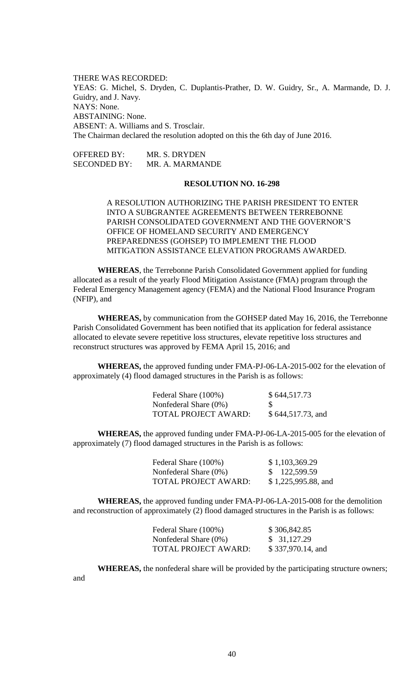THERE WAS RECORDED: YEAS: G. Michel, S. Dryden, C. Duplantis-Prather, D. W. Guidry, Sr., A. Marmande, D. J. Guidry, and J. Navy. NAYS: None. ABSTAINING: None. ABSENT: A. Williams and S. Trosclair. The Chairman declared the resolution adopted on this the 6th day of June 2016.

OFFERED BY: MR. S. DRYDEN SECONDED BY: MR. A. MARMANDE

### **RESOLUTION NO. 16-298**

A RESOLUTION AUTHORIZING THE PARISH PRESIDENT TO ENTER INTO A SUBGRANTEE AGREEMENTS BETWEEN TERREBONNE PARISH CONSOLIDATED GOVERNMENT AND THE GOVERNOR'S OFFICE OF HOMELAND SECURITY AND EMERGENCY PREPAREDNESS (GOHSEP) TO IMPLEMENT THE FLOOD MITIGATION ASSISTANCE ELEVATION PROGRAMS AWARDED.

**WHEREAS**, the Terrebonne Parish Consolidated Government applied for funding allocated as a result of the yearly Flood Mitigation Assistance (FMA) program through the Federal Emergency Management agency (FEMA) and the National Flood Insurance Program (NFIP), and

**WHEREAS,** by communication from the GOHSEP dated May 16, 2016, the Terrebonne Parish Consolidated Government has been notified that its application for federal assistance allocated to elevate severe repetitive loss structures, elevate repetitive loss structures and reconstruct structures was approved by FEMA April 15, 2016; and

**WHEREAS,** the approved funding under FMA-PJ-06-LA-2015-002 for the elevation of approximately (4) flood damaged structures in the Parish is as follows:

| Federal Share (100%)        | \$644,517.73      |
|-----------------------------|-------------------|
| Nonfederal Share $(0\%)$    | <b>S</b>          |
| <b>TOTAL PROJECT AWARD:</b> | \$644,517.73, and |

**WHEREAS,** the approved funding under FMA-PJ-06-LA-2015-005 for the elevation of approximately (7) flood damaged structures in the Parish is as follows:

| Federal Share (100%)  | \$1,103,369.29        |
|-----------------------|-----------------------|
| Nonfederal Share (0%) | \$122,599.59          |
| TOTAL PROJECT AWARD:  | $$1,225,995.88$ , and |

**WHEREAS,** the approved funding under FMA-PJ-06-LA-2015-008 for the demolition and reconstruction of approximately (2) flood damaged structures in the Parish is as follows:

| Federal Share (100%)        | \$306,842.85      |
|-----------------------------|-------------------|
| Nonfederal Share (0%)       | \$31,127.29       |
| <b>TOTAL PROJECT AWARD:</b> | \$337,970.14, and |

**WHEREAS,** the nonfederal share will be provided by the participating structure owners;

and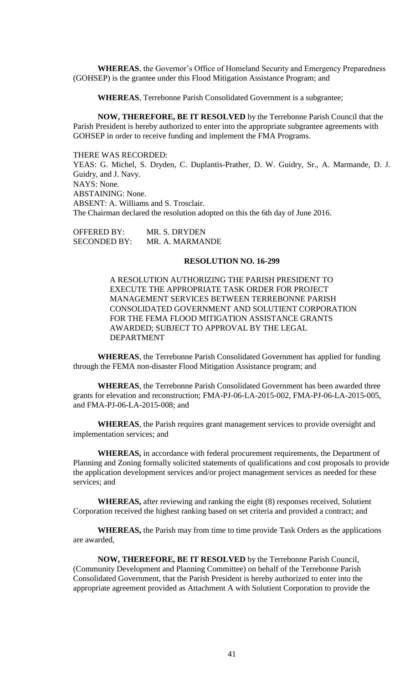**WHEREAS**, the Governor's Office of Homeland Security and Emergency Preparedness (GOHSEP) is the grantee under this Flood Mitigation Assistance Program; and

**WHEREAS**, Terrebonne Parish Consolidated Government is a subgrantee;

**NOW, THEREFORE, BE IT RESOLVED** by the Terrebonne Parish Council that the Parish President is hereby authorized to enter into the appropriate subgrantee agreements with GOHSEP in order to receive funding and implement the FMA Programs.

THERE WAS RECORDED: YEAS: G. Michel, S. Dryden, C. Duplantis-Prather, D. W. Guidry, Sr., A. Marmande, D. J. Guidry, and J. Navy. NAYS: None. ABSTAINING: None. ABSENT: A. Williams and S. Trosclair. The Chairman declared the resolution adopted on this the 6th day of June 2016.

OFFERED BY: MR. S. DRYDEN SECONDED BY: MR. A. MARMANDE

# **RESOLUTION NO. 16-299**

A RESOLUTION AUTHORIZING THE PARISH PRESIDENT TO EXECUTE THE APPROPRIATE TASK ORDER FOR PROJECT MANAGEMENT SERVICES BETWEEN TERREBONNE PARISH CONSOLIDATED GOVERNMENT AND SOLUTIENT CORPORATION FOR THE FEMA FLOOD MITIGATION ASSISTANCE GRANTS AWARDED; SUBJECT TO APPROVAL BY THE LEGAL DEPARTMENT

**WHEREAS**, the Terrebonne Parish Consolidated Government has applied for funding through the FEMA non-disaster Flood Mitigation Assistance program; and

**WHEREAS**, the Terrebonne Parish Consolidated Government has been awarded three grants for elevation and reconstruction; FMA-PJ-06-LA-2015-002, FMA-PJ-06-LA-2015-005, and FMA-PJ-06-LA-2015-008; and

**WHEREAS**, the Parish requires grant management services to provide oversight and implementation services; and

**WHEREAS,** in accordance with federal procurement requirements, the Department of Planning and Zoning formally solicited statements of qualifications and cost proposals to provide the application development services and/or project management services as needed for these services; and

**WHEREAS,** after reviewing and ranking the eight (8) responses received, Solutient Corporation received the highest ranking based on set criteria and provided a contract; and

**WHEREAS,** the Parish may from time to time provide Task Orders as the applications are awarded,

**NOW, THEREFORE, BE IT RESOLVED** by the Terrebonne Parish Council, (Community Development and Planning Committee) on behalf of the Terrebonne Parish Consolidated Government, that the Parish President is hereby authorized to enter into the appropriate agreement provided as Attachment A with Solutient Corporation to provide the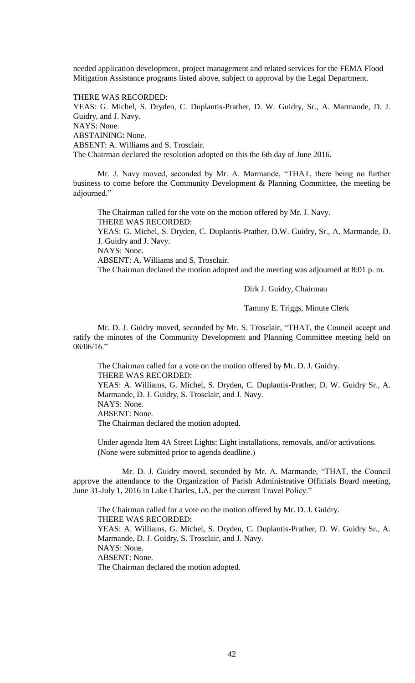needed application development, project management and related services for the FEMA Flood Mitigation Assistance programs listed above, subject to approval by the Legal Department.

THERE WAS RECORDED: YEAS: G. Michel, S. Dryden, C. Duplantis-Prather, D. W. Guidry, Sr., A. Marmande, D. J. Guidry, and J. Navy. NAYS: None. ABSTAINING: None. ABSENT: A. Williams and S. Trosclair. The Chairman declared the resolution adopted on this the 6th day of June 2016.

Mr. J. Navy moved, seconded by Mr. A. Marmande, "THAT, there being no further business to come before the Community Development & Planning Committee, the meeting be adjourned."

The Chairman called for the vote on the motion offered by Mr. J. Navy. THERE WAS RECORDED: YEAS: G. Michel, S. Dryden, C. Duplantis-Prather, D.W. Guidry, Sr., A. Marmande, D. J. Guidry and J. Navy. NAYS: None. ABSENT: A. Williams and S. Trosclair. The Chairman declared the motion adopted and the meeting was adjourned at 8:01 p. m.

Dirk J. Guidry, Chairman

Tammy E. Triggs, Minute Clerk

Mr. D. J. Guidry moved, seconded by Mr. S. Trosclair, "THAT, the Council accept and ratify the minutes of the Community Development and Planning Committee meeting held on 06/06/16."

The Chairman called for a vote on the motion offered by Mr. D. J. Guidry. THERE WAS RECORDED: YEAS: A. Williams, G. Michel, S. Dryden, C. Duplantis-Prather, D. W. Guidry Sr., A. Marmande, D. J. Guidry, S. Trosclair, and J. Navy. NAYS: None. ABSENT: None. The Chairman declared the motion adopted.

Under agenda Item 4A Street Lights: Light installations, removals, and/or activations. (None were submitted prior to agenda deadline.)

Mr. D. J. Guidry moved, seconded by Mr. A. Marmande, "THAT, the Council approve the attendance to the Organization of Parish Administrative Officials Board meeting, June 31-July 1, 2016 in Lake Charles, LA, per the current Travel Policy."

The Chairman called for a vote on the motion offered by Mr. D. J. Guidry. THERE WAS RECORDED: YEAS: A. Williams, G. Michel, S. Dryden, C. Duplantis-Prather, D. W. Guidry Sr., A. Marmande, D. J. Guidry, S. Trosclair, and J. Navy. NAYS: None. ABSENT: None. The Chairman declared the motion adopted.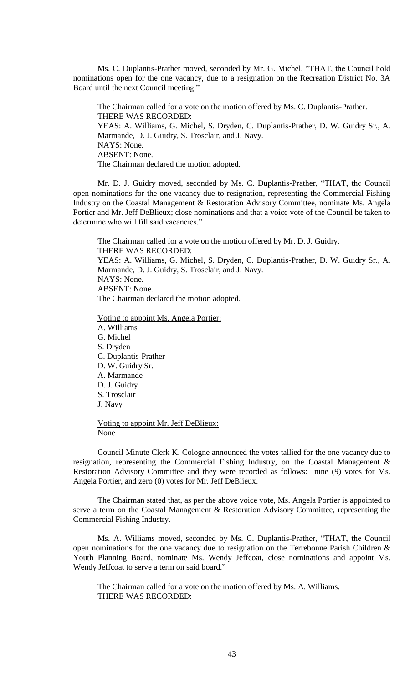Ms. C. Duplantis-Prather moved, seconded by Mr. G. Michel, "THAT, the Council hold nominations open for the one vacancy, due to a resignation on the Recreation District No. 3A Board until the next Council meeting."

The Chairman called for a vote on the motion offered by Ms. C. Duplantis-Prather. THERE WAS RECORDED: YEAS: A. Williams, G. Michel, S. Dryden, C. Duplantis-Prather, D. W. Guidry Sr., A. Marmande, D. J. Guidry, S. Trosclair, and J. Navy. NAYS: None. ABSENT: None. The Chairman declared the motion adopted.

Mr. D. J. Guidry moved, seconded by Ms. C. Duplantis-Prather, "THAT, the Council open nominations for the one vacancy due to resignation, representing the Commercial Fishing Industry on the Coastal Management & Restoration Advisory Committee, nominate Ms. Angela Portier and Mr. Jeff DeBlieux; close nominations and that a voice vote of the Council be taken to determine who will fill said vacancies."

The Chairman called for a vote on the motion offered by Mr. D. J. Guidry. THERE WAS RECORDED: YEAS: A. Williams, G. Michel, S. Dryden, C. Duplantis-Prather, D. W. Guidry Sr., A. Marmande, D. J. Guidry, S. Trosclair, and J. Navy. NAYS: None. ABSENT: None. The Chairman declared the motion adopted.

Voting to appoint Ms. Angela Portier:

A. Williams G. Michel S. Dryden C. Duplantis-Prather D. W. Guidry Sr. A. Marmande D. J. Guidry S. Trosclair J. Navy Voting to appoint Mr. Jeff DeBlieux: None

Council Minute Clerk K. Cologne announced the votes tallied for the one vacancy due to resignation, representing the Commercial Fishing Industry, on the Coastal Management  $\&$ Restoration Advisory Committee and they were recorded as follows: nine (9) votes for Ms. Angela Portier, and zero (0) votes for Mr. Jeff DeBlieux.

The Chairman stated that, as per the above voice vote, Ms. Angela Portier is appointed to serve a term on the Coastal Management & Restoration Advisory Committee, representing the Commercial Fishing Industry.

Ms. A. Williams moved, seconded by Ms. C. Duplantis-Prather, "THAT, the Council open nominations for the one vacancy due to resignation on the Terrebonne Parish Children & Youth Planning Board, nominate Ms. Wendy Jeffcoat, close nominations and appoint Ms. Wendy Jeffcoat to serve a term on said board."

The Chairman called for a vote on the motion offered by Ms. A. Williams. THERE WAS RECORDED: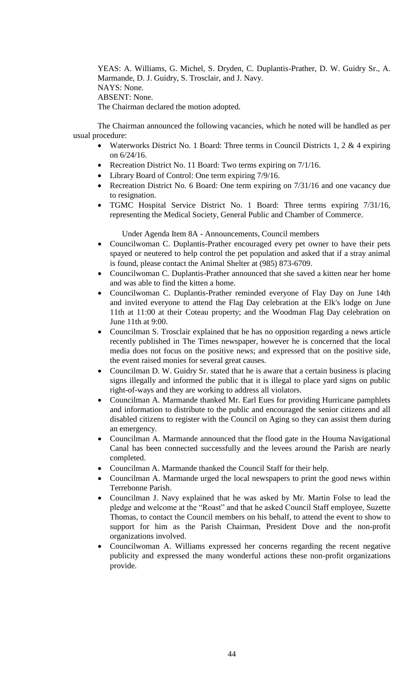YEAS: A. Williams, G. Michel, S. Dryden, C. Duplantis-Prather, D. W. Guidry Sr., A. Marmande, D. J. Guidry, S. Trosclair, and J. Navy. NAYS: None. ABSENT: None. The Chairman declared the motion adopted.

The Chairman announced the following vacancies, which he noted will be handled as per usual procedure:

- Waterworks District No. 1 Board: Three terms in Council Districts 1, 2  $&$  4 expiring on 6/24/16.
- Recreation District No. 11 Board: Two terms expiring on  $7/1/16$ .
- Library Board of Control: One term expiring  $7/9/16$ .
- Recreation District No. 6 Board: One term expiring on 7/31/16 and one vacancy due to resignation.
- TGMC Hospital Service District No. 1 Board: Three terms expiring 7/31/16, representing the Medical Society, General Public and Chamber of Commerce.

Under Agenda Item 8A - Announcements, Council members

- Councilwoman C. Duplantis-Prather encouraged every pet owner to have their pets spayed or neutered to help control the pet population and asked that if a stray animal is found, please contact the Animal Shelter at (985) 873-6709.
- Councilwoman C. Duplantis-Prather announced that she saved a kitten near her home and was able to find the kitten a home.
- Councilwoman C. Duplantis-Prather reminded everyone of Flay Day on June 14th and invited everyone to attend the Flag Day celebration at the Elk's lodge on June 11th at 11:00 at their Coteau property; and the Woodman Flag Day celebration on June 11th at 9:00.
- Councilman S. Trosclair explained that he has no opposition regarding a news article recently published in The Times newspaper, however he is concerned that the local media does not focus on the positive news; and expressed that on the positive side, the event raised monies for several great causes.
- Councilman D. W. Guidry Sr. stated that he is aware that a certain business is placing signs illegally and informed the public that it is illegal to place yard signs on public right-of-ways and they are working to address all violators.
- Councilman A. Marmande thanked Mr. Earl Eues for providing Hurricane pamphlets and information to distribute to the public and encouraged the senior citizens and all disabled citizens to register with the Council on Aging so they can assist them during an emergency.
- Councilman A. Marmande announced that the flood gate in the Houma Navigational Canal has been connected successfully and the levees around the Parish are nearly completed.
- Councilman A. Marmande thanked the Council Staff for their help.
- Councilman A. Marmande urged the local newspapers to print the good news within Terrebonne Parish.
- Councilman J. Navy explained that he was asked by Mr. Martin Folse to lead the pledge and welcome at the "Roast" and that he asked Council Staff employee, Suzette Thomas, to contact the Council members on his behalf, to attend the event to show to support for him as the Parish Chairman, President Dove and the non-profit organizations involved.
- Councilwoman A. Williams expressed her concerns regarding the recent negative publicity and expressed the many wonderful actions these non-profit organizations provide.